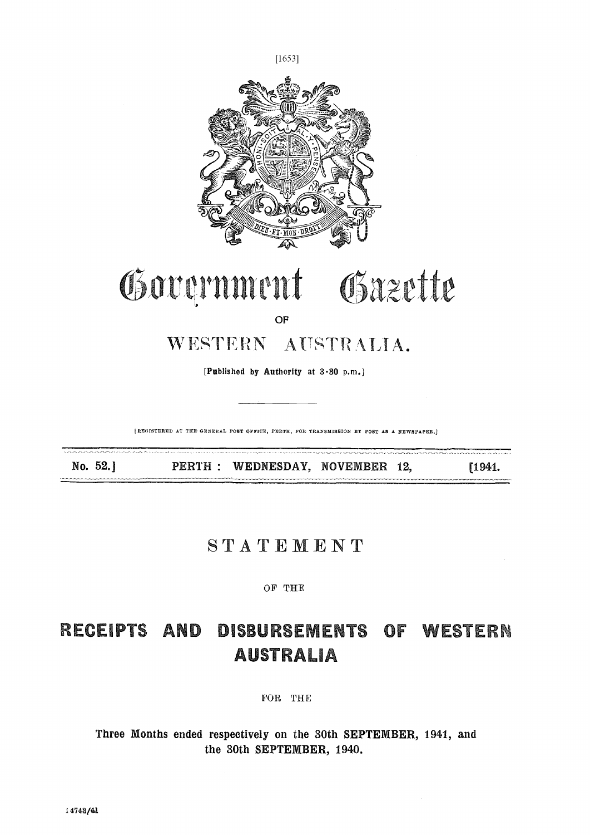

[REGISTERED AT THE GENERAL POST OFFICE, PERTH, FOR TRANSMISSION BY POST AS A NEWSFAPER.]

No. 52.] **PERTH:** WEDNESDAY, NOVEMBER 12, [1941.

# STATEMENT

### OF THE

# DISBURSEMENTS OF WESTERN RECEIPTS AND **AUSTRALIA**

FOR THE

Three Months ended respectively on the 30th SEPTEMBER, 1941, and the 30th SEPTEMBER, 1940.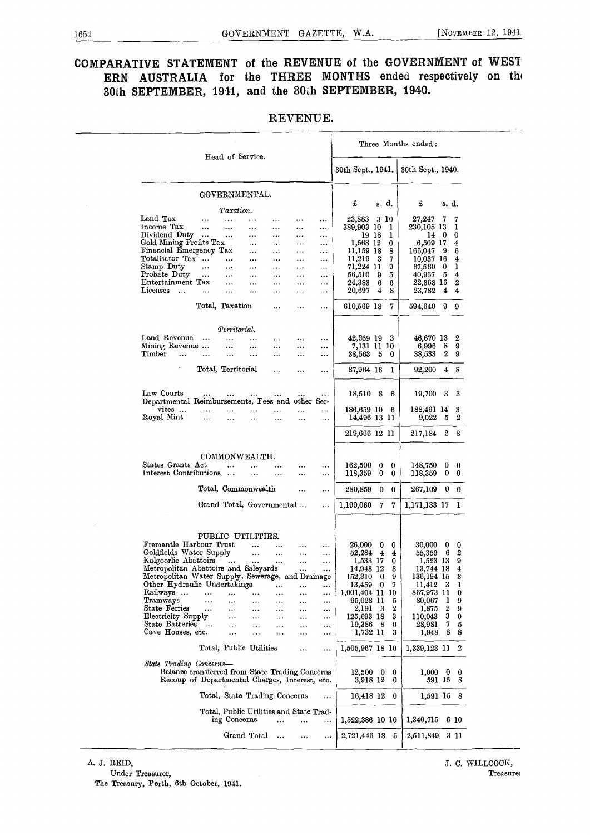# COMPARATIVE STATEMENT of the REVENUE of the GOVERNMENT of WEST ERN AUSTRALIA for the THREE MONTHS ended respectively on th 30th SEPTEMBER, 1941, and the 30th SEPTEMBER, 1940.

|                                                                                                                              |               |                                                         |                       |                       |                      |                       |                                      |          |                      | Three Months ended:                   |                |                       |
|------------------------------------------------------------------------------------------------------------------------------|---------------|---------------------------------------------------------|-----------------------|-----------------------|----------------------|-----------------------|--------------------------------------|----------|----------------------|---------------------------------------|----------------|-----------------------|
|                                                                                                                              |               | Head of Service.                                        |                       |                       |                      |                       | 30th Sept., 1941.                    |          |                      | 30th Sept., 1940.                     |                |                       |
|                                                                                                                              |               | GOVERNMENTAL.                                           |                       |                       |                      |                       | £                                    | s. d.    |                      | £                                     | s. d.          |                       |
| Land Tax                                                                                                                     |               | Taxation.<br>$\ddotsc$                                  | $\cdots$              |                       |                      |                       | 23,883                               | 3 10     |                      | 27,247                                | 7              | 7                     |
| Income Tax<br>Dividend Duty                                                                                                  | $\ddotsc$     | $\ddotsc$                                               | $\cdots$              | $\cdots$              | $\cdots$             | $\cdots$              | 389,903 10                           |          | - 1                  | 230,105 13                            |                | 1                     |
| Gold Mining Profits Tax                                                                                                      |               | $\ddotsc$                                               | $\cdots$<br>$\cdots$  | <br>$\cdots$          | <br>                 | $\cdots$<br>          | 19 18<br>1,568 12                    |          | -1<br>$\bf{0}$       | 14 0<br>6,509 17                      |                | 0<br>4                |
| Financial Emergency Tax<br>Totalisator Tax                                                                                   |               | $\ldots$                                                | $\cdots$<br>$\cdots$  | $\cdots$<br>$\cdots$  | <br>                 | $\ddots$<br>$\cdots$  | 11,159 18<br>$11,219$ 3              |          | 8<br>7               | 166,047<br>$10,037$ 16                | - 9            | 6<br>4                |
| Stamp Duty                                                                                                                   | $\cdots$      | $\cdots$                                                | $\cdots$              | $\cdots$              |                      | $\cdots$              | 71,224 11                            |          | 9                    | 67.560 0                              |                | 1                     |
| Probate Duty<br>Entertainment Tax                                                                                            | $\ddotsc$     | $\ddotsc$<br>$\cdots$                                   | $\ddotsc$<br>$\cdots$ | $\cdots$<br>$\cdots$  | $\cdots$<br>$\cdots$ | $\ddotsc$<br>$\cdots$ | 56,510<br>24,383                     | - 9<br>6 | 5<br>6               | 40,967<br>22,368 16                   | - 5            | 4<br>$\boldsymbol{2}$ |
| Licenses                                                                                                                     | $\cdots$      |                                                         |                       |                       |                      | $\cdots$              | 20,697                               | $\bf{4}$ | 8                    | 23,782                                | $\overline{4}$ | 4                     |
|                                                                                                                              |               | Total, Taxation                                         |                       |                       | $\cdots$             | $\cdots$              | 610,569 18                           |          | 7                    | 594,640 9 9                           |                |                       |
|                                                                                                                              |               | Territorial.                                            |                       |                       |                      |                       |                                      |          |                      |                                       |                |                       |
| Land Revenue<br>Mining Revenue                                                                                               | $\cdots$      | $\ddotsc$                                               |                       |                       | <br>$\cdots$         | $\cdots$<br>          | 42,269 19 3<br>7,131 11 10           |          |                      | 46,670 13<br>6,996                    | 8              | 2<br>9                |
| Timber<br>$\dddotsc$                                                                                                         | $\ldots$      | $\ddotsc$                                               | $\cdots$              |                       |                      | $\cdots$              | 38,563 5                             |          | 0                    | 38,533                                | $2^{\circ}$    | -9                    |
|                                                                                                                              |               | Total, Territorial                                      |                       |                       |                      |                       | 87,964 16 1                          |          |                      | 92,200 4 8                            |                |                       |
| Law Courts<br>Departmental Reimbursements, Fees and other Ser-                                                               | $\cdots$      | $\cdots$                                                |                       | $\cdots$              |                      | $\cdots$              | 18,510 8                             |          | - 6                  | 19,700 3 3                            |                |                       |
| $vicees$<br>Royal Mint                                                                                                       | <br>$\ddotsc$ |                                                         | $\ldots$              |                       | <br>                 | $\cdots$<br>$\cdots$  | 186,659 10 6<br>14,496 13 11         |          |                      | 188,461 14<br>$9,022 \quad 5 \quad 2$ |                | 3                     |
|                                                                                                                              |               |                                                         |                       |                       |                      |                       | 219,666 12 11                        |          |                      | 217,184 2 8                           |                |                       |
|                                                                                                                              |               | COMMONWEALTH.                                           |                       |                       |                      |                       |                                      |          |                      |                                       |                |                       |
| States Grants Act<br>Interest Contributions                                                                                  |               | $\ddotsc$                                               | $\cdots$<br>$\ddotsc$ | <br>                  | <br>                 | $\cdots$<br>          | $162,500 \quad 0 \quad 0$<br>118,359 | $\bf{0}$ | $\bf{0}$             | 148,750 0 0<br>118,359                |                | $0\quad 0$            |
|                                                                                                                              |               | Total, Commonwealth                                     |                       |                       |                      |                       | 280,859                              | $\bf{0}$ | $\bf{0}$             | 267,109 0 0                           |                |                       |
|                                                                                                                              |               | Grand Total, Governmental                               |                       |                       |                      |                       | 1,199,060                            | 7        | 7                    | 1,171,133 17 1                        |                |                       |
|                                                                                                                              |               | PUBLIC UTILITIES.                                       |                       |                       |                      |                       |                                      |          |                      |                                       |                |                       |
| Fremantle Harbour Trust                                                                                                      |               |                                                         | $\cdots$              | $\ddotsc$             |                      |                       | $26,000 \quad 0$                     |          | $\bf{0}$             | $30,000 \quad 0$                      |                | $\bf{0}$              |
| Goldfields Water Supply<br>Kalgoorlie Abattoirs                                                                              |               | $\ddotsc$                                               | $\cdots$<br>$\cdots$  | $\ddotsc$<br>$\cdots$ | <br>                 | $\cdots$<br>$\cdots$  | 52,284 4<br>1,533 17                 |          | $\overline{4}$<br>0  | 55,359 6<br>1,523 13                  |                | 2<br>9                |
| Metropolitan Abattoirs and Saleyards                                                                                         |               |                                                         |                       |                       | $\ddotsc$            | $\cdots$              | 14,943 12                            |          | 3                    | 13,744 18                             |                | 4                     |
| Metropolitan Water Supply, Sewerage, and Drainage<br>Other Hydraulic Undertakings                                            |               |                                                         |                       |                       |                      |                       | 152,310<br>13,459 0                  | $\bf{0}$ | 9<br>7               | 136,194 15<br>11,412                  | 3              | 3<br>1                |
| Railways                                                                                                                     |               |                                                         |                       | .                     |                      |                       | 1,001,404 11 10                      |          |                      | 867,973 11                            |                | $\bf{0}$              |
| Tramways<br><b>State Ferries</b>                                                                                             |               |                                                         | .                     |                       |                      | $\cdots$              | 95,028 11                            |          | 5                    | 80,067                                | 1              | 9                     |
| Electricity Supply                                                                                                           |               | <br>                                                    | <br>                  | .<br>                 | <br>                 | <br>                  | 2,191 3<br>125,693 18                |          | 2<br>3               | 1,875<br>110,043                      | 2<br>3         | 9<br>$\bf{0}$         |
| State Batteries                                                                                                              | $\cdots$      |                                                         |                       |                       |                      | $\cdots$              | 19,386 8                             |          | $\bf{0}$             | 28,981                                | 7              | 5                     |
| Cave Houses, etc.                                                                                                            |               |                                                         |                       |                       |                      |                       | 1,732 11                             |          | 3                    | 1,948                                 | 8              | 8                     |
|                                                                                                                              |               | Total, Public Utilities                                 |                       |                       |                      |                       | 1,505,967 18 10                      |          |                      | 1,339,123 11 2                        |                |                       |
| State Trading Concerns-<br>Balance transferred from State Trading Concerns<br>Recoup of Departmental Charges, Interest, etc. |               |                                                         |                       |                       |                      |                       | $12,500$ 0<br>3,918 12               |          | $\bf{0}$<br>$\bf{0}$ | $1,000 \quad 0$<br>591 15             |                | $\bf{0}$<br>8         |
|                                                                                                                              |               | Total, State Trading Concerns                           |                       |                       |                      | $\cdots$              | 16,418 12                            |          | $\bf{0}$             | 1,591 15 8                            |                |                       |
|                                                                                                                              |               | Total, Public Utilities and State Trad-<br>ing Concerns |                       |                       | .                    | $\ddotsc$             | 1,522,386 10 10                      |          |                      | 1,340,715                             |                | 6 10                  |
|                                                                                                                              |               | Grand Total                                             |                       |                       |                      | $\cdots$              | 2,721,446 18 5                       |          |                      | 2,511,849                             |                | 3 11                  |

### REVENUE.

The Treasury, Perth, 6th October, 1941.

A. J. REID, J. C. WILLCOCK, Under Treasurer, Treasurei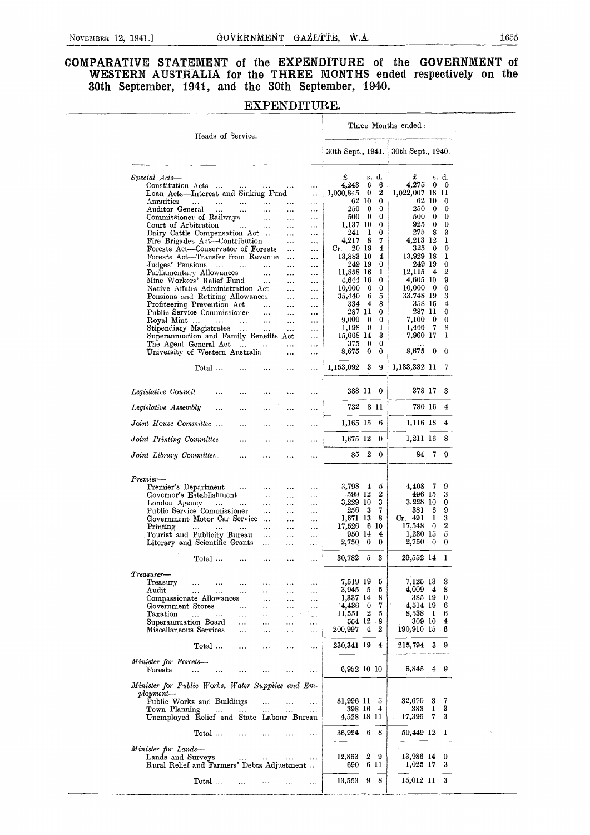# COMPARATIVE STATEMENT of the EXPENDITURE of the GOVERNMENT of WESTERN AUSTRALIA for the THREE MONTHS ended respectively on the 30th September, 1941, and the 30th September, 1940.

|                                                                                        | Heads of Service.                       |                                            |                       |                        |                       |                       |                      |                  | Three Months ended:     |                      |                       |
|----------------------------------------------------------------------------------------|-----------------------------------------|--------------------------------------------|-----------------------|------------------------|-----------------------|-----------------------|----------------------|------------------|-------------------------|----------------------|-----------------------|
|                                                                                        |                                         |                                            |                       |                        |                       | 30th Sept., 1941.     |                      |                  | 30th Sept., 1940.       |                      |                       |
| Special Acts-                                                                          |                                         |                                            |                       |                        |                       | £                     | s. d.                |                  | £                       |                      | s. d.                 |
| Constitution Acts                                                                      |                                         | contract of the state.                     |                       |                        | $\cdots$              | 4,243                 | 6                    | 6                | 4,275                   | $\bf{0}$             | - 0                   |
| Loan Acts—Interest and Sinking Fund                                                    |                                         |                                            |                       |                        |                       | 1,030,845             | $\bf{0}$             | 2                | $1,022,007$ 18 11       |                      |                       |
| Annuities                                                                              | <b>Contract</b><br>$\cdots$             | $\cdots$                                   | $\sim 100$            | $\cdots$               | $\ddotsc$             |                       | 62 10                | 0                |                         | 62 10                | 0                     |
| Auditor General                                                                        | $\dots$                                 | $\ldots$                                   | $\bar{\mathcal{A}}$   | $\ddotsc$              | $\cdots$              | 250                   | $\bf{0}$             | 0                | 250                     | $\bf{0}$             | 0                     |
| Commissioner of Railways                                                               |                                         |                                            | $\sim$ $\sim$ $\sim$  | $\ldots$               | $\cdots$              | 500<br>1,137 10       | $\bf{0}$             | 0<br>0           | 500<br>925              | $\bf{0}$<br>$\bf{0}$ | 0<br>0                |
| Court of Arbitration<br>Dairy Cattle Compensation Act                                  |                                         | <b>Contract Contract</b>                   | $\sim$ 100 $\pm$      | $\ldots$<br>$\sim 100$ | $\ldots$<br>$\cdots$  | 241                   | 1                    | 0                | 275                     | - 8                  | 3                     |
| Fire Brigades Act—Contribution                                                         |                                         |                                            |                       | $\sim$                 | $\ldots$              | 4,217                 | 8                    | 7                | 4,213 12                |                      | ı                     |
| Forests Act—Conservator of Forests                                                     |                                         |                                            |                       | $\ldots$               | $\ddotsc$             | Cr.                   | 20 19                | 4                | 325                     | - 0                  | $\bf{0}$              |
| Forests Act-Transfer from Revenue                                                      |                                         |                                            |                       | $\ddotsc$              | $\cdots$              | 13,883 10             |                      | 4                | 13,929 18               |                      | ı                     |
| Judges' Pensions                                                                       |                                         |                                            | $\ldots$              | $\ldots$               | $\cdots$              | 249 19                |                      | 0                | 249 19                  |                      | 0                     |
| Parliamentary Allowances                                                               |                                         |                                            | $\cdots$              |                        | $\cdots$              | 11,858 16<br>4,644 16 |                      | 1<br>0           | 12,115<br>4,605 10      | -4                   | 2<br>9                |
| Mine Workers' Relief Fund<br>Native Affairs Administration Act                         |                                         |                                            | $\sim 100$ km $^{-1}$ | $\cdots$<br>$\cdots$   | $\cdots$              | 10,000                | $\bf{0}$             | $\bf{0}$         | 10,000                  | $\bf{0}$             | 0                     |
| Pensions and Retiring Allowances                                                       |                                         |                                            |                       | $\ddotsc$              | $\cdots$<br>$\ddotsc$ | 35,440                | 6                    | 5                | 33,748 19               |                      | 3                     |
| Profiteering Prevention Act                                                            |                                         |                                            | $\sim 100$ km $^{-1}$ | $\cdots$               | $\cdots$              | 334                   | $\overline{4}$       | 8                | 358 15                  |                      | 4                     |
| Public Service Commissioner                                                            |                                         |                                            | $\sim 100$            | $\cdots$               | $\cdots$              | 287 11                |                      | 0                | 287 11                  |                      | 0                     |
| Royal Mint                                                                             |                                         |                                            | $\ldots$              | $\ldots$               | $\cdots$              | 9,000                 | $\bf{0}$             | $\bf{0}$         | 7,100                   | $\bf{0}$             | 0                     |
| Stipendiary Magistrates                                                                |                                         |                                            | $\sim 100$            | $\sim$                 | $\cdots$              | 1,198                 | 9                    | 1                | 1,466                   | 7                    | 8<br>ı                |
| Superannuation and Family Benefits Act<br>The Agent General Act                        |                                         |                                            |                       |                        | $\cdots$              | 15,668 14<br>375      | $\bf{0}$             | 3<br>$\bf{0}$    | 7,960 17                |                      |                       |
| University of Western Australia                                                        |                                         |                                            |                       | $\ddotsc$              | $\cdots$<br>$\cdots$  | 8,675                 | 0                    | 0                | 8,675                   | $\bf{0}$             | -0                    |
|                                                                                        | Total                                   |                                            |                       | $\cdots$               | $\cdots$              | 1,153,092             | 3                    | 9                | 1,133,332 11            |                      | 7                     |
| Legislative Council                                                                    | $\ddotsc$                               | .                                          |                       | $\ddotsc$              | $\ddotsc$             | 388 11                | $\bf{0}$             |                  | 378 17                  |                      | 3                     |
| Legislative Assembly                                                                   |                                         | $\cdots$                                   | $\cdots$              | $\ddotsc$              | $\cdots$              | 732                   | 8 11                 |                  | 780 16                  |                      | 4                     |
| Joint House Committee                                                                  |                                         | $\cdots$                                   | $\cdots$              | $\cdots$               | $\cdots$              | 1,165 15              |                      | 6                | 1,116 18                |                      | 4                     |
| Joint Printing Committee                                                               |                                         | $\cdots$                                   | $\cdots$              | .                      | $\ddotsc$             | 1,675 12              |                      | 0                | 1,211 16                |                      | 8                     |
| Joint Library Committee                                                                |                                         | $\ddotsc$                                  | $\cdots$              |                        |                       | 85                    | 2                    | $\bf{0}$         | 84                      | $\overline{7}$       | 9                     |
| Premier—                                                                               |                                         |                                            |                       |                        |                       |                       |                      |                  |                         |                      |                       |
| Premier's Department                                                                   |                                         | $\cdots$                                   | $\ldots$              | $\cdots$               | $\ddotsc$             | 3,798                 | $\frac{4}{3}$<br>- 5 |                  | 4,408                   | - 7                  | 9                     |
| Governor's Establishment                                                               |                                         |                                            | $\cdots$              | $\cdots$               | $\cdots$              | 599 12                |                      | $\boldsymbol{2}$ | 496 15                  |                      | 3                     |
| London Agency                                                                          |                                         |                                            | $\cdots$              | $\cdots$               |                       | 3,229 10              |                      | 3                | 3,228 10                |                      | 0                     |
| Public Service Commissioner                                                            |                                         |                                            | $\cdots$              | $\cdots$               |                       | 256                   | - 3                  | 7                | 381                     | 6                    | 9                     |
| Government Motor Car Service                                                           |                                         |                                            |                       | $\cdots$               | $\cdots$              | 1,671 13              |                      | 8                | Cr.491                  | 1                    | 3                     |
| Printing                                                                               | $\ldots$ .<br><b>Sales Control</b>      | $\mathbf{r}$ , $\mathbf{r}$ , $\mathbf{r}$ | $\sim$ $\sim$         | $\cdots$               | $\cdots$              | 17,526<br>950 14      | 6 10                 | 4                | 17,548<br>1,230 15      | - 0                  | 2<br>$\tilde{\sigma}$ |
| Tourist and Publicity Bureau<br>Literary and Scientific Grants                         |                                         |                                            | $\ddotsc$<br>$\ldots$ | $\cdots$               | $\cdots$              | 2,750                 | $\bf{0}$             | 0                | 2,750                   | $\bf{0}$             | 0                     |
|                                                                                        |                                         |                                            |                       | $\cdots$               | $\cdots$              |                       |                      |                  |                         |                      |                       |
|                                                                                        | $Total \dots$                           | $\cdots$                                   | $\cdots$              | $\cdots$               |                       | 30,782                | - 5                  | 3                | 29,552 14               |                      | -1                    |
|                                                                                        |                                         |                                            |                       |                        |                       |                       |                      |                  |                         |                      |                       |
| ${\it Treasury}$                                                                       |                                         |                                            |                       |                        |                       |                       |                      |                  |                         |                      |                       |
| Treasury                                                                               | $\ldots$<br>$\ddotsc$                   | $\ddotsc$                                  |                       |                        |                       | 7,519 19<br>3,945     | - 5                  | 5<br>5           | 7,125 13<br>4,009 4     |                      | 3<br>8                |
| Audit<br>Compassionate Allowances                                                      | $\ldots$<br>$\mathbf{r}$ , $\mathbf{r}$ | $\ldots$                                   | $\cdots$<br>$\cdots$  | $\cdots$<br>.          | $\ddotsc$             | 1,337 14              |                      | 8                | 385 19                  |                      | 0                     |
| Government Stores                                                                      |                                         | $\cdots$                                   |                       | .                      | $\cdots$<br>$\ddotsc$ | 4,436                 | $\bf{0}$             | 7                | 4,514 19                |                      | 6                     |
| Taxation                                                                               | $\sim 100$<br>$\cdots$                  | $\cdots$                                   | $\ddotsc$             | $\ddot{\phantom{a}}$   | ç.,                   | 11,551                | 2                    | 5                | 8,538 1                 |                      | 6                     |
| Superannuation Board                                                                   |                                         | $\ddotsc$                                  |                       | .                      | .                     | 554 12                |                      | 8                | 309 10                  |                      | 4                     |
| Miscellaneous Services                                                                 |                                         | $\ddotsc$                                  |                       |                        |                       | 200,997               | 4                    | $\boldsymbol{2}$ | $190,910$ 15 6          |                      |                       |
|                                                                                        | Total                                   | .                                          |                       |                        |                       | 230,341 19            |                      | 4                | 215,794                 | 3                    | 9                     |
| Minister for Forests-                                                                  |                                         |                                            |                       |                        |                       |                       |                      |                  |                         |                      |                       |
| Forests                                                                                | $\cdots$<br>$\ldots$                    |                                            |                       |                        |                       |                       | 6,952 10 10          |                  | 6,845 4 9               |                      |                       |
| Minister for Public Works, Water Supplies and Em-<br>$p$ loyment—                      |                                         |                                            |                       |                        |                       |                       |                      |                  |                         |                      |                       |
| Public Works and Buildings                                                             |                                         |                                            | $\cdots$              | $\cdots$               | $\cdots$              | 31,996 11             |                      | 5                | 32,670 3                |                      | 7                     |
| Town Planning                                                                          | $\sim 100$                              | $\sim 100$                                 | $\cdots$              | $\sim$ .               | $\ldots$              | 398 16                | 4                    |                  | 383                     | 1                    | 3                     |
| Unemployed Relief and State Labour Bureau                                              |                                         |                                            |                       |                        |                       | 4,528 18 11           |                      |                  | 17,396                  | 7                    | 3                     |
|                                                                                        | $\mathrm{Total}$ $\ldots$               | $\cdots$                                   |                       |                        | $\cdots$              | 36,924 6              |                      | 8                | 50,449 12               |                      | $\mathbf{I}$          |
| Minister for Lands-<br>Lands and Surveys<br>Rural Relief and Farmers' Debts Adjustment |                                         | $\rightarrow$ $\rightarrow$                | $\ldots$              | $\cdots$               | $\ddotsc$             | 12,863<br>690         | 2<br>- 9<br>6 11     |                  | 13,986 14<br>$1,025$ 17 |                      | 0<br>3                |
|                                                                                        | $Total \dots$                           |                                            | $\sim$ $\sim$ $\sim$  | $\ldots$               | $\ldots$              | 13,553                | 9                    | 8                | 15,012 11               |                      | 3                     |

# EXPENDITURE.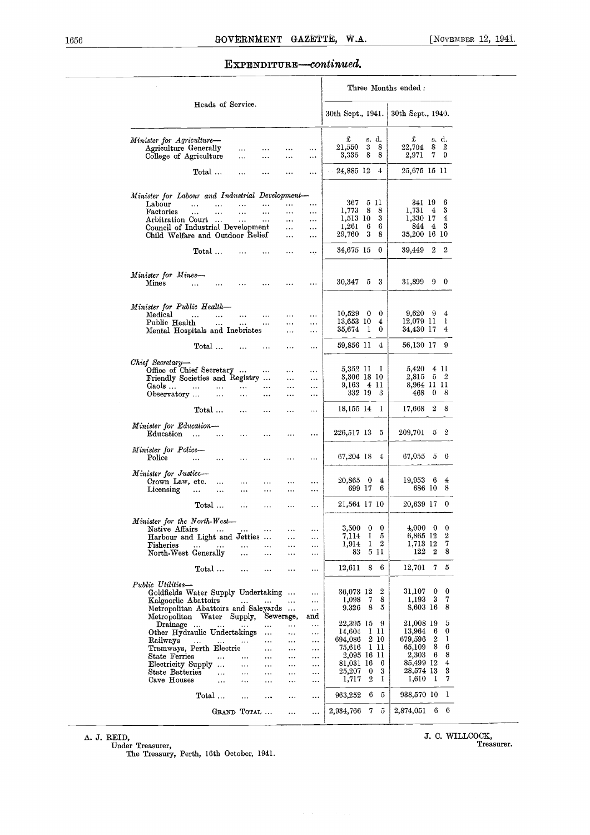### EXPENDITURE-continued.

|                                                                    |                                               |                       |                       |                      |                      | Three Months ended:     |                      |                        |                         |  |  |  |  |
|--------------------------------------------------------------------|-----------------------------------------------|-----------------------|-----------------------|----------------------|----------------------|-------------------------|----------------------|------------------------|-------------------------|--|--|--|--|
|                                                                    | Heads of Service.                             |                       |                       |                      |                      | 30th Sept., 1941.       |                      | 30th Sept., 1940.      |                         |  |  |  |  |
| Minister for Agriculture-<br>Agriculture Generally                 |                                               | $\cdots$              |                       |                      | $\cdots$             | £<br>21,550             | s. d.<br>3<br>8      | £<br>22,704            | s. d.<br>8<br>2         |  |  |  |  |
| College of Agriculture                                             |                                               |                       | $\cdots$              | .                    | $\cdots$             | 3,335                   | 8<br>8               | 2,971                  | 7<br>9                  |  |  |  |  |
|                                                                    | Total                                         | $\cdots$              |                       |                      | $\ddotsc$            | 24,885 12               | $\overline{4}$       | 25,675 15 11           |                         |  |  |  |  |
| Minister for Labour and Industrial Development-                    |                                               |                       |                       |                      |                      |                         |                      |                        |                         |  |  |  |  |
| Labour                                                             | $\ddotsc$<br>$\ddotsc$                        |                       | $\cdots$              |                      |                      | 367<br>1,773            | 5 H<br>8<br>8        | 341 19<br>1,731        | 6<br>3<br>$\frac{4}{3}$ |  |  |  |  |
| Factories<br>Arbitration Court                                     | $\ddotsc$<br>$\ddotsc$<br>$\cdots$            | $\ddotsc$<br>$\cdots$ | $\cdots$<br>$\ddotsc$ | <br>$\cdots$         | <br>                 | 1,513 10                | 3                    | 1,330 17               | 4                       |  |  |  |  |
| Council of Industrial Development                                  |                                               |                       |                       |                      | $\cdots$             | 1,261                   | 6<br>6               | 844                    | 3<br>4                  |  |  |  |  |
| Child Welfare and Outdoor Relief                                   |                                               |                       |                       | $\cdots$             | $\cdots$             | 29,760                  | 3<br>8               | 35,200 16 10           |                         |  |  |  |  |
|                                                                    | Total                                         |                       |                       |                      |                      | 34,675 15               | $\bf{0}$             | 39,449                 | $^{2}$<br>2             |  |  |  |  |
|                                                                    |                                               |                       |                       |                      |                      |                         |                      |                        |                         |  |  |  |  |
| Minister for Mines-<br>Mines                                       | <br>$\cdots$                                  | $\cdots$              |                       |                      | .                    | 30,347                  | 5<br>3               | 31,899                 | 90                      |  |  |  |  |
|                                                                    |                                               |                       |                       |                      |                      |                         |                      |                        |                         |  |  |  |  |
| Minister for Public Health-                                        |                                               |                       |                       |                      |                      |                         |                      |                        |                         |  |  |  |  |
| Medical<br>Public Health                                           | $\ddot{\phantom{a}}$<br>$\ddotsc$<br>$\ldots$ | $\cdots$              | $\cdots$<br>$\cdots$  | <br>                 | $\cdots$<br>$\cdots$ | $10,529$ 0<br>13,653 10 | $\bf{0}$<br>4        | $9,620$ 9<br>12,079 11 | 4<br>ı                  |  |  |  |  |
| Mental Hospitals and Inebriates                                    |                                               | $\cdots$              |                       |                      |                      | 35,674                  | - 1<br>0             | 34,430 17              | 4                       |  |  |  |  |
|                                                                    | Total                                         |                       |                       |                      | $\cdots$             | 59,856 11               | 4                    | 56,130 17              | 9                       |  |  |  |  |
| Chief Secretary-                                                   |                                               |                       |                       |                      |                      |                         |                      |                        |                         |  |  |  |  |
| Office of Chief Secretary                                          |                                               |                       | $\cdots$              | .                    |                      | 5,352 11                | -1                   | 5,420                  | 4 11                    |  |  |  |  |
| Friendly Societies and Registry                                    |                                               |                       |                       |                      | $\cdots$             | 3,306 18 10             |                      | 2,815                  | $\overline{2}$<br>5     |  |  |  |  |
| Gaols                                                              | $\ddotsc$<br>                                 | $\cdots$              |                       |                      | $\cdots$             | 9,163 4 11<br>332 19    | 3                    | 8,964 II II<br>468     | $\bf{0}$<br>8           |  |  |  |  |
| Observatory                                                        | $\cdots$                                      |                       |                       | .                    | $\ldots$             |                         |                      |                        |                         |  |  |  |  |
|                                                                    | Total                                         | $\cdots$              | $\ddotsc$             | .                    | $\ddotsc$            | 18,155 14               | 1                    | 17,668                 | 8<br>2                  |  |  |  |  |
| Minister for Education-<br>Education                               | $\cdots$<br>$\cdots$                          | $\cdots$              |                       |                      |                      | 226,517 13              | 5                    | 209,701                | 2<br>5                  |  |  |  |  |
| Minister for Police-<br>Police                                     |                                               |                       |                       |                      |                      | 67,204 18               | 4                    | 67,055                 | $5 -$<br>6              |  |  |  |  |
|                                                                    | $\ddotsc$<br>$\cdots$                         | $\cdots$              | $\cdots$              |                      |                      |                         |                      |                        |                         |  |  |  |  |
| Minister for Justice-<br>Crown Law, etc.                           | $\cdots$                                      | $\cdots$              | $\cdots$              | .                    |                      | 20,865 0                | 4                    | 19,953 6               | $\ddot{}$               |  |  |  |  |
| Licensing                                                          | $\ddotsc$<br>$\ddotsc$                        | $\cdots$              | $\cdots$              | .                    |                      | 699 17                  | 6                    | 686 10                 | 8                       |  |  |  |  |
|                                                                    | Total                                         | $\ddotsc$             | $\ddotsc$             | .                    | $\cdots$             | 21,564 17 10            |                      | 20,639 17              | 0                       |  |  |  |  |
| Minister for the North-West-                                       |                                               |                       |                       |                      |                      |                         |                      |                        |                         |  |  |  |  |
| Native Affairs                                                     | $\sim$ 100 $\pm$                              | $\cdots$              |                       |                      |                      | $3{,}500$               | $\bf{0}$<br>$\bf{0}$ | $4,000 \quad 0$        | $\theta$                |  |  |  |  |
| Harbour and Light and Jetties                                      |                                               |                       |                       |                      |                      | 7,114<br>1,914          | 1<br>5<br>2<br>1     | 6,865 12<br>1,713 12   | 2<br>7                  |  |  |  |  |
| Fisheries<br>North West Generally                                  | $\cdots$                                      | $\cdots$<br>$\cdots$  | $\ddotsc$<br>$\cdots$ | .                    | <br>$\cdots$         | 83                      | 5 11                 | 122                    | 8<br>2                  |  |  |  |  |
|                                                                    | Total                                         | $\cdots$              | $\cdots$              | $\cdots$             | $\cdots$             | 12,611                  | 8<br>6               | 12,701                 | 7 <sub>5</sub>          |  |  |  |  |
| Public Utilities-                                                  |                                               |                       |                       |                      |                      |                         |                      |                        |                         |  |  |  |  |
| Goldfields Water Supply Undertaking                                |                                               |                       |                       |                      | $\cdots$             | 36,073 12               | 2                    | 31,107                 | $\mathbf 0$<br>0        |  |  |  |  |
| Kalgoorlie Abattoirs                                               |                                               | $\sim$ 100 $\sim$     | $\cdots$              | $\cdots$             | $\cdots$             | 1,098                   | 8<br>7<br>8<br>5     | 1,193<br>8,603 16      | 7<br>3<br>8             |  |  |  |  |
| Metropolitan Abattoirs and Saleyards<br>Metropolitan Water Supply, |                                               |                       |                       | Sewerage,            | $\cdots$<br>and      | 9,326                   |                      |                        |                         |  |  |  |  |
| Drainage                                                           | $\cdots$                                      |                       |                       | $\cdots$             | $\cdots$             | 22,395 15               | -9                   | 21,008 19              | 5                       |  |  |  |  |
| Other Hydraulic Undertakings                                       |                                               |                       | $\ldots$              |                      | $\cdots$             | 14,604                  | 1 11                 | 13,964                 | 0<br>6                  |  |  |  |  |
| Railways                                                           | $\cdots$                                      |                       | $\ddotsc$             | $\cdots$             |                      | 694,086<br>75,616       | 2 10<br>1 H          | 679,596<br>65,109      | 1<br>2<br>6<br>8        |  |  |  |  |
| Tramways, Perth Electric<br>State Ferries                          |                                               | $\ddotsc$             | $\cdots$<br>          | $\cdots$<br>$\cdots$ | $\cdots$<br>         |                         | 2,095 16 11          | 2,303                  | 8<br>- 6                |  |  |  |  |
| Electricity Supply                                                 |                                               | $\cdots$              | $\cdots$              | $\cdots$             | $\cdots$             | 81,031 16               | 6                    | 85,499 12              | $\boldsymbol{4}$        |  |  |  |  |
| State Batteries                                                    | $\ddotsc$                                     |                       |                       |                      | $\cdots$             | 25,207                  | $\bf{0}$<br>3        | 28,574 13              | 3                       |  |  |  |  |
| Cave Houses                                                        | $\ddotsc$                                     | ٠.,                   | $\cdots$              | $\cdots$             | $\cdots$             | 1,717                   | 2<br>1               | 1,610                  | 7<br>-1                 |  |  |  |  |
|                                                                    | Total                                         |                       | $\ddotsc$             | $\cdots$             | $\cdots$             | 963,252                 | 6<br>5               | 938,570 10             | 1                       |  |  |  |  |
|                                                                    | GRAND TOTAL                                   |                       |                       | $\cdots$             |                      | 2,934,766               | 7<br>5               | 2,874,051 6            | 6                       |  |  |  |  |

A. J. REID,

Under Treasurer, The Treasury, Perth, 16th October, 1941.

S. C, WILLCOCK, Treasurer.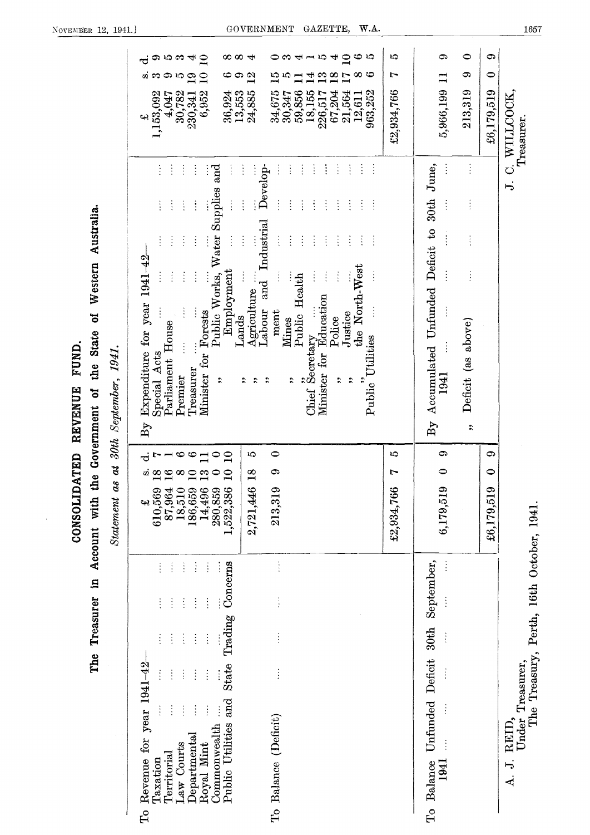| ထထ<br>ю<br>ဢ<br>යා<br>$\mathbf{\Xi}$<br>$\overline{\mathbf{u}}$<br>ಌ<br>७<br>යා<br>$\mathbf{r}$<br>⊕<br>ణ<br>ూ<br>$\mathbf{g}$<br>Ø2<br>36,924<br>13,553<br>4,047<br>30,782<br>6,952<br>1,153,092<br>230,341<br>4                                                                                                                                                                                                                                                                                                     | అ<br>ುದಿ<br>$-10$<br>$\mathbf{\Xi}$<br>↤<br>ຕ<br>$\overline{\mathbf{r}}$<br>⇥<br>∞<br>అ<br>12<br>$\mathbf{r}$<br>Ě<br>10<br>$\frac{8}{1}$<br>4<br>$\overline{17}$<br>24,885<br>59,856<br>18,155<br>963,252<br>34,675<br>30,347<br>226,517<br>67,204<br>21,564<br>12,611                                                                                                                                                                                                                                                                                                                                                                                                                                       | $\bullet$<br>0<br>LC)<br>යා<br>ය<br>0<br>r<br>5,966,199<br>£2,934,766<br>213,319<br>£6,179,519                                                                                    | WILLCOCK,<br>Treasurer                                                                            |
|-----------------------------------------------------------------------------------------------------------------------------------------------------------------------------------------------------------------------------------------------------------------------------------------------------------------------------------------------------------------------------------------------------------------------------------------------------------------------------------------------------------------------|---------------------------------------------------------------------------------------------------------------------------------------------------------------------------------------------------------------------------------------------------------------------------------------------------------------------------------------------------------------------------------------------------------------------------------------------------------------------------------------------------------------------------------------------------------------------------------------------------------------------------------------------------------------------------------------------------------------|-----------------------------------------------------------------------------------------------------------------------------------------------------------------------------------|---------------------------------------------------------------------------------------------------|
| $\vdots$<br>$\ddot{.}$<br>ŧ<br>Water Supplies and<br>$\ddot{\ddot{\cdot}}$<br>ŧ<br>$\ddot{\cdot}$<br>$\vdots$<br>$\frac{1}{2}$<br>$\frac{1}{2}$<br>$\vdots$<br>ţ<br>$\vdots$<br>$\ddot{\cdot}$<br>$\ddot{\ddot{\cdot}}$<br>Expenditure for year 1941-42<br>Employment<br>Public Works,<br>$\vdots$<br>$\ddot{\cdot}$<br>$\frac{1}{2}$<br>$\vdots$<br>Forests<br>Lands<br>Parliament House<br>$\vdots$<br>Special Acts<br>$f$ or<br>Treasurer<br>Minister<br>Premier<br>$\ddot{\phantom{0}}$<br>$\mathrm{B}\mathrm{y}$ | $\vdots$<br>$\vdots$<br>$\ddot{\phantom{a}}$<br>Develop-<br>÷<br>÷<br>÷<br>ŧ<br>$\ddot{\cdot}$<br>$\vdots$<br>÷<br>$\ddot{\cdot}$<br>÷<br>$\vdots$<br>ŧ<br>÷<br>÷<br>÷<br>$\vdots$<br>$\vdots$<br>Industrial<br>$\frac{1}{2}$<br>$\ddot{\cdot}$<br>$\vdots$<br>$\ddot{\cdot}$<br>$\vdots$<br>ŧ<br>÷<br>÷<br>$\vdots$<br>the North-West<br>$\vdots$<br>$\frac{1}{2}$<br>$\ddot{\cdot}$<br>Public Health<br>and<br>Agriculture<br>Education<br>Labour<br>ment<br>Justice<br>Police<br>Mines<br>Public Utilities<br>$\overrightarrow{C}$ hief Secretary<br>for<br>Minister<br>$\ddot{\phantom{0}}$<br>$\ddot{\bm{x}}$<br>$\ddot{\phantom{0}}$<br>$\ddot{\bm{x}}$<br>$\ddot{\phantom{0}}$<br>$\ddot{\phantom{0}}$ | Accumulated Unfunded Deficit to 30th June,<br>Ì<br>ł<br>$\vdots$<br>$\ddot{}}$<br>$\vdots$<br>$\vdots$<br>Deficit (as above)<br>1941<br>$\mathbf{B}\mathbf{y}$<br>$\ddot{\bm{r}}$ | S<br>$\overline{\phantom{a}}$                                                                     |
| అ<br>$\ddot{\circ}$<br>ᅌ<br>$\mathbf{Q}$<br>$\infty$<br>$\circ \circ$<br>$\infty$<br>$\bullet$<br>280,859<br>1,522,386<br>14,496<br>87,964<br>18,510<br>186,659<br>610,569<br>42                                                                                                                                                                                                                                                                                                                                      | $\bullet$<br>5<br>c<br>∞<br>2,721,446<br>213,319                                                                                                                                                                                                                                                                                                                                                                                                                                                                                                                                                                                                                                                              | G<br>⊕<br>S<br>$\bullet$<br>$\bullet$<br>Ļ.<br>6,179,519<br>£2,934,766<br>£6,179,519                                                                                              |                                                                                                   |
| Concerns<br>$\vdots$<br>$\vdots$<br>$\vdots$<br>÷<br>$\vdots$<br>$\vdots$<br>$\vdots$<br>$\ddot{\cdot}$<br>$\vdots$<br>Î<br>ŧ<br>Trading<br>$\vdots$<br>$\ddot{\cdot}$<br>ţ<br>$\vdots$<br>$\vdots$<br>Revenue for year 1941-42<br><b>State</b><br>$\vdots$<br>$\frac{1}{2}$<br>$\vdots$<br>ļ<br>and<br>$\ddot{\cdot}$<br>$\vdots$<br>$\ddot{\cdot}$<br>$\vdots$<br>Public Utilities<br>Commonwealth<br>Departmenta<br>Law Courts<br>Royal Mint<br>Territorial<br>Taxation                                            | $\vdots$<br>$\frac{1}{2}$<br>$\vdots$<br>$\vdots$<br>To Balance (Deficit)                                                                                                                                                                                                                                                                                                                                                                                                                                                                                                                                                                                                                                     | To Balance Unfunded Deficit 30th September,<br>$\ddot{\cdot}$<br>$\frac{1}{2}$<br>1941                                                                                            | The Treasury, Perth, 16th October, 1941.<br>Under Treasurer,<br>REID,<br>J.<br>$\overline{\bf d}$ |

CONSOLIDATED REVENUE FUND.<br>The Treasurer in Account with the Government of the State of Western Australia.

 $\frac{1657}{2}$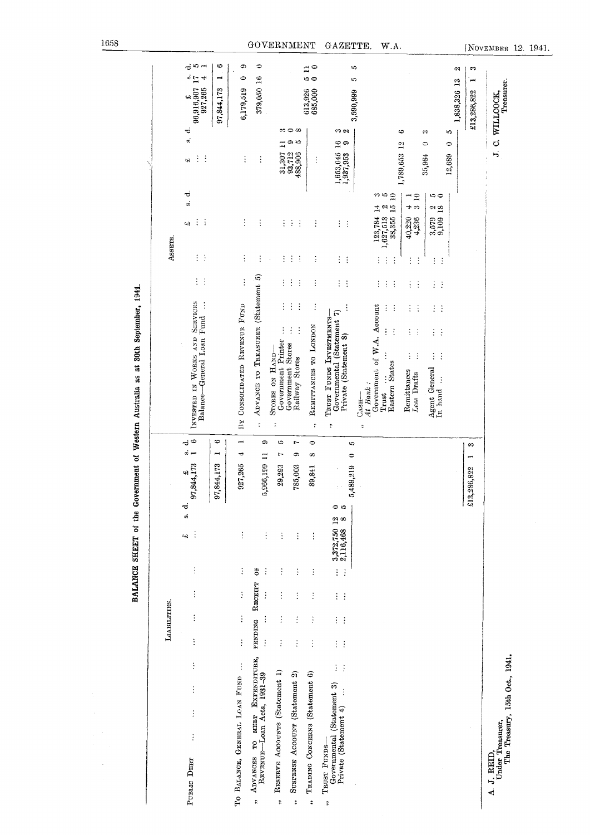|                                                                                                                               | LIABILTITIES.                         |                      |                   |                             |                 |              |                      |                                                                                      |                      |                                  | Assers.                          |                                                                                                      |                                       |                                                            |
|-------------------------------------------------------------------------------------------------------------------------------|---------------------------------------|----------------------|-------------------|-----------------------------|-----------------|--------------|----------------------|--------------------------------------------------------------------------------------|----------------------|----------------------------------|----------------------------------|------------------------------------------------------------------------------------------------------|---------------------------------------|------------------------------------------------------------|
| $\vdots$<br>$\vdots$<br>$\vdots$<br>$\vdots$<br>PUBLIC DEBT                                                                   | $\vdots$<br>$\vdots$                  | $\vdots$             | $\ddot{\ddot{i}}$ | s.<br>$\vdots$<br>¢۹        | 97,844,173<br>್ | ä            | ⇔<br>ಸ               | INVESTED IN WORKS AND SERVICES<br>Balance-General Loan Fund                          |                      | $\vdots$<br>$\vdots$             | $\vdots$<br>$\vdots$             | $\vec{c}$<br>si.<br>$\vdots$<br>÷<br>ېب                                                              | ಕ<br>ຫ່<br>$\vdots$<br>÷<br>44        | -ರ 10<br>-<br>$\frac{a}{L}$<br>96,916,907<br>927,265<br>44 |
|                                                                                                                               |                                       |                      |                   |                             | 97,844,173      | ,,,,         | ⇔                    |                                                                                      |                      |                                  |                                  |                                                                                                      |                                       | ⇔<br>97,844,173                                            |
| TO BALANCE, GENERAL LOAN FUND                                                                                                 | $\vdots$<br>$\vdots$                  | $\vdots$             | $\vdots$          | $\vdots$                    | 927,265         | 4            | Ŧ                    | BY CONSOLIDATED REVENUE FUND                                                         |                      | $\vdots$                         | $\vdots$                         | $\vdots$                                                                                             | $\vdots$                              | ٩<br>0<br>6,179,519                                        |
| мкит Ехримпичин,<br>REVENUE-Loan Acts, 1931-39<br>ADVANCES TO<br>$\ddot{\phantom{0}}$                                         | $\vdots$<br>PENDING<br>$\vdots$       | RECEIPT<br>$\vdots$  | ö<br>$\vdots$     | $\vdots$                    |                 | 5,966,199 11 | $\ddot{\cdot}$<br>¢  | ADVANCE TO TREASURER (Statement 5)                                                   |                      |                                  |                                  | $\vdots$                                                                                             | $\vdots$                              | 0<br>379,050 16                                            |
| RESERVE ACCOUNTS (Statement 1)<br>¢                                                                                           | $\vdots$<br>$\vdots$                  | $\vdots$             | $\vdots$          | $\vdots$                    | 29,293          | r            | $\ddot{\cdot}$<br>L. | $\vdots$<br>Government Printer<br>STORES ON HAND-                                    |                      |                                  |                                  | $\vdots$                                                                                             | ಌ<br>$\Xi$<br>31,307                  |                                                            |
| SUSPENSE ACCOUNT (Statement 2)<br>$\ddot{ }$                                                                                  | $\vdots$<br>$\vdots$                  | $\vdots$             | $\vdots$          | $\vdots$                    | 785,003         | ô            | r                    | $\vdots$<br>Government Stores<br>Railway Stores                                      | $\vdots$<br>$\vdots$ | $\vdots$<br>÷                    | $\vdots$<br>÷                    | $\vdots$<br>÷                                                                                        | $\circ$<br>ದಿ ಸಿ<br>93,712<br>488,906 |                                                            |
| TRADING CONCERNS (Statement 6)<br>$\ddot{\cdot}$                                                                              | $\vdots$                              | $\vdots$             | $\vdots$          | $\ddot{\ddot{\cdot}}$       | 89,841          | ∞            | ŗ<br>$\bullet$       | REMITTANCES TO LONDON                                                                | $\vdots$             | $\vdots$                         |                                  |                                                                                                      | $\vdots$                              | ≎<br>⊐<br>ູ<br>0<br>613,926<br>685,000                     |
| $\vdots$<br>$\vdots$<br>Governmental (Statement 3)<br>$\vdots$<br>Private (Statement 4)<br>TRUST FUNDS-<br>$\ddot{\tilde{r}}$ | ŧ<br>$\vdots$<br>$\vdots$<br>$\vdots$ | $\vdots$<br>$\vdots$ | $\vdots$<br>ţ.    | 3,372,750 12<br>2,116,468 8 | 5,489,219<br>ຸດ | $\bullet$    | $\ddot{\cdot}$<br>S  | Governmental (Statement 7)<br>TRUST FUNDS INVESTMENTS-<br>Private (Statement 8)      | $\vdots$             | $\vdots$<br>$\ddot{\cdot}$       | $\vdots$<br>÷                    | ÷<br>$\ddot{\cdot}$                                                                                  | က လ<br>1,653,045 16<br>¢<br>1,937,953 |                                                            |
|                                                                                                                               |                                       |                      |                   |                             |                 |              | ř,                   | At Bank:<br>C <sub>ASH</sub>                                                         |                      |                                  |                                  |                                                                                                      |                                       | ω<br>כי<br>3,590,999                                       |
|                                                                                                                               |                                       |                      |                   |                             |                 |              |                      | Government of W.A. Account<br>$\vdots$<br>$\vdots$<br><b>Eastern States</b><br>Trust | $\vdots$<br>$\vdots$ | $\vdots$<br>$\vdots$<br>$\vdots$ | $\vdots$<br>$\vdots$<br>$\vdots$ | ಌ<br>చ<br>$\tilde{a}$<br>$\begin{array}{r} 123,784 & 14 \\ 1,627,513 & 2 \\ 38,355 & 15 \end{array}$ |                                       |                                                            |
|                                                                                                                               |                                       |                      |                   |                             |                 |              |                      | $\vdots$<br>÷<br>$\vdots$<br>$\vdots$<br>Remittances<br>Less Drafts                  | ÷<br>÷               | $\vdots$<br>÷                    | $\vdots$<br>$\vdots$             | $\mathbf{r}$<br>z,<br>4<br>40,220<br>4,236                                                           | ఐ<br>1,789,653 12                     |                                                            |
|                                                                                                                               |                                       |                      |                   |                             |                 |              |                      | $\vdots$<br>$\frac{1}{2}$<br>$\vdots$<br>÷<br>Agent General<br>In hand               | $\frac{1}{2}$<br>÷   | ÷<br>$\ddot{\cdot}$              | $\vdots$<br>$\vdots$             | 10 ⊜<br>$\frac{2}{18}$<br>$\frac{3,579}{9,109}$                                                      | œ<br>0<br>35,984                      |                                                            |
|                                                                                                                               |                                       |                      |                   |                             | £13,286,822     |              | S                    |                                                                                      |                      |                                  |                                  |                                                                                                      | v,<br>$\bullet$<br>12,689             | 69<br>21<br>1,838,326 13<br>p×<br>£13,286,822              |
| Under Treasurer,<br>The Treasury, 15th Oct., 1941.<br>A. J. REID,                                                             |                                       |                      |                   |                             |                 |              |                      |                                                                                      |                      |                                  |                                  |                                                                                                      | J. C. WILLCOCK,                       | Treasurer.                                                 |

# BALANCE SHEET of the Government of Western Australia as at 30th September, 1941.

 $\ddot{\phantom{a}}$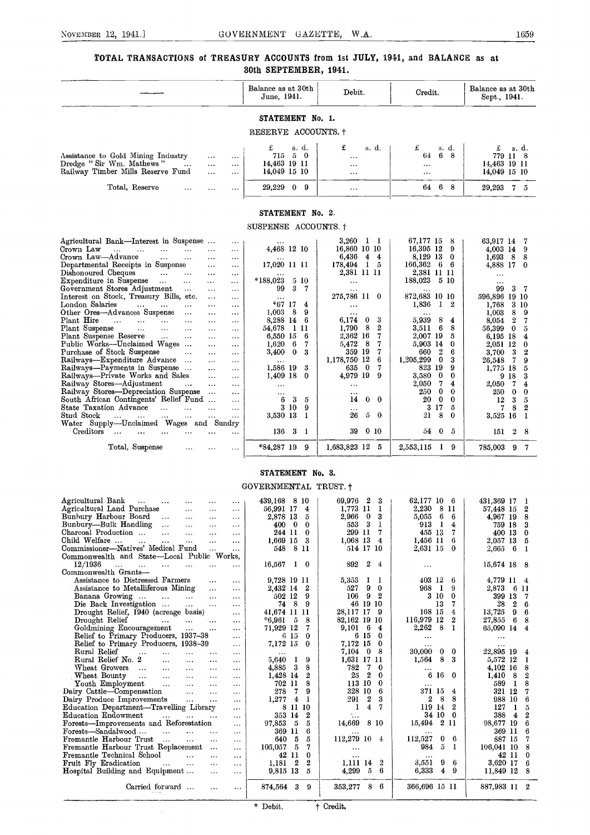### TOTAL TRANSACTIONS of TREASURY ACCOUNTS from 1st JULY, 1941, and BALANCE as at 80th SEPTEMBER, 1941.

|                                                                                             |                                       | Balance as at 30th<br>June, 1941. | Debit.                         | Credit.                               | Balance as at 30th<br>Sept., 1941.  |
|---------------------------------------------------------------------------------------------|---------------------------------------|-----------------------------------|--------------------------------|---------------------------------------|-------------------------------------|
|                                                                                             |                                       | STATEMENT No. 1.                  |                                |                                       |                                     |
|                                                                                             |                                       | RESERVE ACCOUNTS. +               |                                |                                       |                                     |
|                                                                                             |                                       |                                   |                                |                                       |                                     |
|                                                                                             |                                       | s. d.                             | £<br>s. d.                     | £<br>s. d.                            | s. d.<br>£                          |
| Assistance to Gold Mining Industry                                                          | $\cdots$<br>$\sim$ $\sim$ $\sim$      | 50<br>715.                        | $\sim$ $\sim$                  | $6 -$<br>64<br>-8                     | 779 11 8                            |
| Dredge "Sir Wm. Mathews"<br>$\cdots$                                                        | $\sim$ $\sim$ $\sim$<br>$\cdots$      | 14,463 19 11                      | $\cdots$                       | $\sim$ .                              | 14,463 19 11                        |
| Railway Timber Mills Reserve Fund                                                           | $\cdots$<br>$\cdots$                  | 14,049 15 10                      | $\sim$ $\sim$ $\sim$           |                                       | 14,049 15 10                        |
| Total, Reserve<br>$\cdots$                                                                  | $\cdots$<br>$\sim$ $\sim$ $\sim$      | 29,229 0 9                        | $\sim$ $\sim$                  | 6 8<br>64                             | 29,293 7 5                          |
|                                                                                             |                                       |                                   |                                |                                       |                                     |
|                                                                                             |                                       |                                   |                                |                                       |                                     |
|                                                                                             |                                       | STATEMENT No. 2.                  |                                |                                       |                                     |
|                                                                                             |                                       | SUSPENSE ACCOUNTS. †              |                                |                                       |                                     |
| Agricultural Bank—Interest in Suspense                                                      | $\cdots$                              |                                   | $3,260$ 1 1                    | 67,177 15<br>- 8                      | 63,917 14<br>- 7                    |
| Crown Law<br>$\cdots$<br>$\cdots$<br>$\sim$<br>$\sim 100$                                   | $\cdots$<br>$\cdots$                  | 4,468 12 10                       | 16,860 10 10                   | 16,395 12 9                           | $4,003$ 14<br>-9                    |
| Crown Law-Advance<br>$\cdots$<br>$\cdots$                                                   | $\cdots$<br>$\cdots$                  |                                   | 6,436 4 4                      | 8,129 13 0                            | $1,693$ 8 8                         |
| Departmental Receipts in Suspense                                                           | $\cdots$<br>$\cdots$                  | 17,020 11 11                      | 178,494 1 5                    | 166,362 6 6                           | 4,888 17 0                          |
| Dishonoured Cheques<br>$\sim 10^{-11}$<br>$\ldots$                                          | $\sim$ $\sim$<br>$\sim$ $\sim$ $\sim$ |                                   | 2,381 11 11                    | 2,381 11 11                           | $\cdots$                            |
| Expenditure in Suspense<br>$\sim$ $\sim$ $\sim$                                             | $\cdots$<br>$\cdots$                  | $*188,023$<br>5 10                | $\cdots$                       | 188,023 5 10                          |                                     |
| Government Stores Adjustment<br>$\sim$ $\sim$ $\sim$                                        | $\cdots$<br>$\cdots$                  | $3 -$<br>- 7<br>99                | $\ldots$                       |                                       | 99<br>3<br>- 7                      |
| Interest on Stock, Treasury Bills, etc.                                                     | $\ldots$<br>$\cdots$                  |                                   | 275,786 11 0                   | 872,683 10 10                         | 596,896 19 10                       |
| London Salaries<br>$\mathbf{r}$ and $\mathbf{r}$<br>$\cdots$<br>$\cdots$                    | $\sim$ $\sim$ $\sim$<br>$\cdots$      | *67 17<br>$\frac{4}{ }$           | $\cdots$                       | 1,836<br>1 2                          | 3 10<br>1,768                       |
| Other Ores-Advances Suspense<br>$\cdots$                                                    | $\cdots$<br>$\cdots$                  | 1,003<br>8<br>-9                  | $\cdots$                       |                                       | 1,003<br>89                         |
| Plant Hire<br>$\cdots$<br>$\sim 100$<br>$\sim 10^{-11}$<br>$\ldots$                         | $\cdots$<br>$\cdots$                  | 8,288 14<br>-6                    | 6,174<br>-3<br>$\bf{0}$        | 5,939<br>8<br>$\overline{\mathbf{4}}$ | $\boldsymbol{2}$<br>8,054<br>7      |
| Plant Suspense<br>$\sim 100$<br>$\cdots$<br>$\cdots$                                        | $\cdots$<br>$\cdots$                  | 54,678<br>-1-11                   | 8<br>$\boldsymbol{2}$<br>1,790 | 6<br>8<br>3,511                       | 56,399<br>$\mathbf{0}$<br>5         |
| Plant Suspense Reserve<br>$\cdots$<br>$\sim$ $\sim$                                         | $\sim$ $\sim$<br>$\cdots$             | 6,550 15<br>- 6                   | 2,362 16<br>7                  | 2,007 19<br>5                         | 6,195 18<br>4                       |
| Public Works-Unclaimed Wages                                                                | $\cdots$<br>$\cdots$                  | 1,620<br>6<br>7                   | 5,472<br>- 8<br>7              | 5,903 14<br>0                         | 2,051 12<br>$\bf{0}$                |
| Purchase of Stock Suspense<br>$\cdots$                                                      |                                       | 3,400<br>$\bf{0}$<br>-3           | 359 19<br>7                    | $\boldsymbol{2}$<br>660<br>6          | 3<br>3,700<br>2                     |
|                                                                                             | $\cdots$<br>$\sim$ $\sim$ $\sim$      |                                   | 1,178,750 12<br>6              | 1,205,299<br>$\bf{0}$<br>3            | 7                                   |
| Railways-Expenditure Advance                                                                | $\cdots$<br>$\cdots$                  | 1,586 19<br>-3                    | 635 0<br>7                     | 823 19<br>9                           | 26,548<br>9<br>1,775 18             |
| Railways-Payments in Suspense                                                               | $\cdots$<br>$\sim$ $\sim$ $\sim$      | $\Omega$                          | 4,979 19<br>-9                 | $\bf{0}$<br>0                         | 5                                   |
| Railways-Private Works and Sales                                                            | $\cdots$<br>$\cdots$                  | 1,409 18                          |                                | 3,580<br>7<br>4                       | 9 18<br>3                           |
| Railway Stores-Adjustment<br>$\ldots$                                                       | $\cdots$<br>$\cdots$                  | $\sim$ $\sim$ $\sim$              | $\cdots$                       | 2,050                                 | 2,050<br>7<br>4                     |
| Railway Stores-Depreciation Suspense                                                        | $\sim$<br>$\cdots$                    |                                   |                                | $\bf{0}$<br>250<br>$\theta$           | 250<br>$\bf{0}$<br>$\bf{0}$         |
| South African Contingents' Relief Fund                                                      | $\cdots$                              | 3<br>6<br>5                       | 14<br>$\mathbf{0}$<br>- 0      | 20<br>$\bf{0}$<br>$\bf{0}$            | 12<br>3<br>5                        |
| State Taxation Advance<br><b><i>Print</i></b><br>$\ldots$<br>$\alpha$ , $\alpha$ , $\alpha$ | $\ldots$<br>$\cdots$                  | 3 10<br>9<br>$0.500 - 10 - 1$     | $\cdots$<br>റെ പ               | 3 17<br>$\mathfrak{p}$<br>21000       | 8<br>$\overline{2}$<br>7<br>0.52510 |
|                                                                                             |                                       |                                   |                                |                                       |                                     |

| STATEMENT No. 3. |  |
|------------------|--|

### GOVERNMENTAL TRUST.  $\dagger$

Stud Stock ... ... ... ... ... ... ... 3,530 13 1 26 5 0 21 8 0 3,525 16 1<br>Water Supply---Unclaimed Wages and Sundry |

Total, Suspense  $\ldots$   $\ldots$   $\begin{array}{|l|} \hline \text{*84,287 }19 & 9 \hline \end{array}$  1,683,823 12 5 2,553,115 1 9 785,003 9 7

136 3 1 | 39 0 10 | 54 0 5 | 151 2 8

| Agricultural Bank                                                                                            | 439,168 8 10                    | 69,976 2<br>3                          | 62,177 10 6                            | 431,369 17<br>-1            |
|--------------------------------------------------------------------------------------------------------------|---------------------------------|----------------------------------------|----------------------------------------|-----------------------------|
| $\sim 100$<br>$\cdots$<br><br>$\cdots$<br>$\cdots$<br>Agricaltural Land Purchase<br>$\cdots$<br>$\cdots$     | 56,991 17<br>4                  | 1,773 11<br>1                          | 2.230<br>8 11                          | 2<br>57,448 15              |
| $\cdots$<br>Bunhury Harbour Board                                                                            | 5<br>2.878 13                   | $\overline{\phantom{0}}$<br>3<br>2,966 | 6<br>5,055<br>6                        | 8<br>4,967 19               |
| $\sim$ $\sim$ $\sim$<br>$\cdots$<br>$\cdots$<br>Bunbury—Bulk Handling                                        | $\bf{0}$<br>$\mathbf{0}$<br>400 | 3<br>553                               | 913<br>1<br>4                          | 3<br>759 18                 |
| $\sim 100$<br>$\sim$ $\sim$ $\sim$<br>$\cdots$<br>$\cdots$<br>Charcoal Production                            |                                 | 299 11<br>7                            | 455 13                                 |                             |
| $\cdots$<br>$\cdots$<br>$\cdots$<br>$\cdots$<br>Child Welfare                                                | 244 11<br>$\bf{0}$              |                                        | 7                                      | 400 13<br>0                 |
| $\ddotsc$<br>$\cdots$<br>$\cdots$<br>$\cdots$                                                                | 1,669 15<br>3                   | 1,068 13<br>4                          | 1,456 11<br>6                          | 5<br>2,057 13               |
| Commissioner-Natives' Medical Fund<br>$\cdots$<br>$\cdots$                                                   | 548<br>8 11                     | 514 17 10                              | 2,631 15<br>$\Omega$                   | 2,665<br>6<br>J.            |
| Commonwealth and State—Local Public Works,                                                                   |                                 |                                        |                                        |                             |
| 12/1936<br>$\cdots$<br>$\cdots$<br>$\ldots$<br>$\sim 10$<br>$\cdots$<br>$\cdots$                             | 16,567<br>$1\quad 0$            | 2<br>892<br>4                          | $\cdots$                               | 15,674 18 8                 |
| Commonwealth Grants-                                                                                         |                                 |                                        |                                        |                             |
| Assistance to Distressed Farmers<br>$\cdots$<br>$\cdots$                                                     | 9,728 19 11                     | 5,353<br>- 1<br>-1                     | 403 12<br>6                            | 4,779 11 4                  |
| Assistance to Metalliferous Mining<br>$\cdots$<br>$\cdots$                                                   | -2<br>2,432 14                  | 9<br>527<br>$\Omega$                   | 968<br>9<br>1                          | 2,873 6 11                  |
| Banana Growing<br>$\cdots$<br>$\cdots$<br>$\cdots$<br>$\cdots$                                               | 9<br>502 12                     | 9<br>2<br>106                          | 3 10<br>$\bf{0}$                       | 399 13<br>7                 |
| Die Back Investigation<br>$\cdots$<br>$\sim$ $\sim$ $\sim$<br>$\cdots$                                       | - 8<br>9<br>74                  | 46 19 10                               | 13<br>7                                | 28<br>6<br>$\boldsymbol{2}$ |
| Drought Relief, 1940 (acreage basis)<br>$\cdots$                                                             | 41.674 11 11                    | 28.117 17<br>9                         | 168 15<br>$\overline{4}$               | 6<br>13.725<br>9            |
| Drought Relief<br>$\sim$ $\sim$ $\sim$<br>$\ldots$<br>$\cdots$<br>$\cdots$                                   | 8<br>$*6.961$<br>- 5            | 82,162 19 10                           | 116,979 12<br>2                        | 27,855<br>6<br>8            |
| Goldmining Encouragement<br>$\sim$ $\sim$<br>$\cdots$                                                        | 7<br>71,929 12                  | 9,101<br>- 6<br>4                      | 2,262<br>8<br>-1                       | 65,090 14<br>4              |
| Relief to Primary Producers, 1937-38<br>$\cdots$                                                             | 6 15<br>$\bf{0}$                | 6 15<br>$\Omega$                       | $\cdots$                               | $\ldots$                    |
| Relief to Primary Producers, 1938-39<br>$\cdots$                                                             | 7,172 15<br>$\theta$            | 7,172 15<br>$\Omega$                   | $\cdots$                               | $\cdots$                    |
| Rural Relief<br>$\cdots$<br>$\cdots$<br>$\cdots$<br>$\cdots$<br>$\cdots$                                     | $\cdots$                        | 7.104<br>8<br>$\bf{0}$                 | 30,000<br>$\mathbf{0}$<br>$\mathbf{0}$ | 22,895 19<br>4              |
| Rural Relief No. 2<br>$\cdots$<br>$\cdots$<br>$\cdots$<br>$\cdots$                                           | 5.640<br>9<br>$\mathbf{1}$      | 1,631 17<br>-11                        | 1,564<br>8<br>3                        | 5,572 12<br>1               |
| Wheat Growers<br>$\cdots$<br>$\cdots$<br>$\cdots$<br>$\sim$ $\sim$ $\sim$<br>$\cdots$                        | 4,885 3<br>8                    | 782<br>-7<br>0                         | $\cdots$                               | 8<br>4,102 16               |
| Wheat Bounty<br>$\sim$ $\sim$<br>$\ddotsc$<br>$\sim$ $\sim$ $\sim$<br>$\cdots$<br>$\cdots$                   | 1,428 14<br>$\overline{2}$      | 25<br>2<br>$\Omega$                    | 6 16 0                                 | 2<br>1,410<br>8             |
| Youth Employment<br>$\mathbf{r}$<br>$\cdots$<br>$\cdots$<br>$\cdots$                                         | 8<br>702 11                     | 113<br>-10<br>$\bf{0}$                 | $\cdots$                               | 8<br>589<br>1               |
| Dairy Cattle-Compensation<br>$\ddotsc$<br>$\ddotsc$<br>$\cdots$                                              | 9<br>278<br>7                   | 328<br>6<br>10                         | 371 15<br>4                            | 321 12<br>7                 |
| Dairy Produce Improvements<br>$\cdots$<br>$\cdots$<br>$\sim$ $\sim$                                          | 1.277<br>4<br>-1                | $\boldsymbol{2}$<br>3<br>291           | 8<br>8<br>2                            | 6<br>988 10                 |
| Education Department-Travelling Library<br>$\cdots$                                                          | 8 11 10                         | 4                                      | 119 14<br>2                            | 127<br>5<br>-1              |
| Education Endowment<br>$\cdots$<br>$\cdots$<br>$\cdots$                                                      | 353 14<br>2                     |                                        | 34 10<br>$\bf{0}$                      | 388<br>$\overline{2}$<br>4  |
| Forests-Improvements and Reforestation<br>$\ddotsc$                                                          | 97,853<br>5<br>5                | 14,669<br>8 10                         | 15,494<br>2 11                         | 98,677 19<br>6              |
| Forests—Sandalwood<br>$\cdots$<br>$\cdots$<br>$\cdots$<br>$\cdots$                                           | 6<br>369 11                     |                                        | $\cdots$                               | 369 11<br>6                 |
| Fremantle Harbour Trust<br>$\cdots$<br>$\cdots$<br>$\cdots$<br>$\cdots$                                      | $\tilde{p}$<br>640<br>5         | 112,279 10<br>4                        | 112.527<br>$\bf{0}$<br>6               | 887 15<br>7                 |
| Fremantle Harbour Trust Replacement<br>$\cdots$<br>$\cdots$                                                  | 5<br>105,057<br>7               |                                        | 5<br>984                               | 106,041 10<br>8             |
| Fremantle Technical School<br>$\ddotsc$<br>$\cdots$                                                          | 42 11<br>$\bf{0}$               | $\cdots$                               |                                        | 42 11<br>0                  |
| $\cdots$<br>Fruit Fly Eradication                                                                            | $\boldsymbol{2}$<br>1,181<br>2  | $\cdots$<br>$\overline{2}$<br>1,111 14 | $\cdots$<br>3,551<br>9<br>6            | 3,620 17<br>6               |
| <b>Contract Contract</b><br>$\ldots$<br>$\cdots$<br>$\cdots$<br>Hospital Building and Equipment<br>$\ddotsc$ | 9,815 13<br>5                   | 6<br>4,299<br>5                        | 6,333<br>$\overline{4}$<br>9           | 11,849 12<br>8              |
| $\cdots$                                                                                                     |                                 |                                        |                                        |                             |
| Carried forward<br>$\cdots$                                                                                  | 874,564 3<br>9                  | 353,277<br>8<br>-6                     | 366,696 15 11                          | 887,983 11 2                |
|                                                                                                              |                                 |                                        |                                        |                             |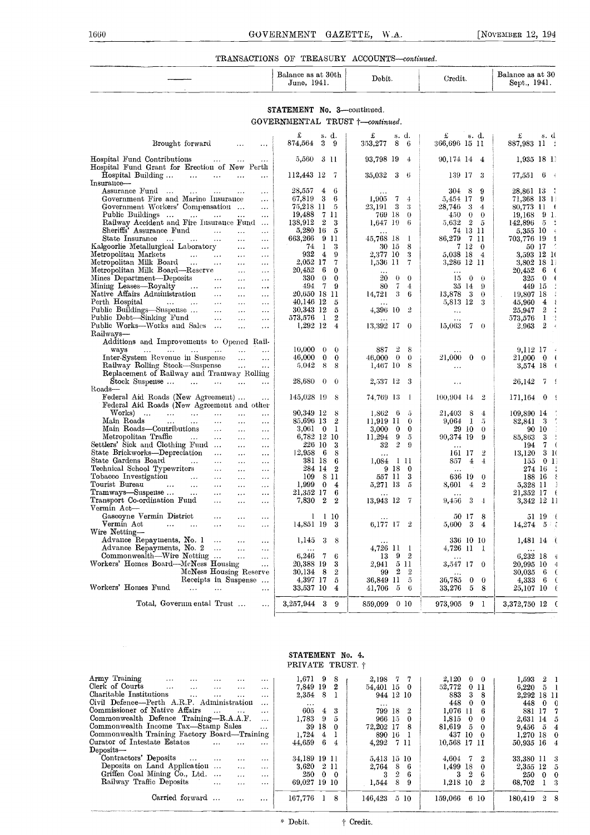### TRANSACTIONS OF TREASURY ACCOUNTS-continued.

| $\label{eq:2.1} \begin{minipage}{0.9\textwidth} \begin{minipage}{0.9\textwidth} \centering \begin{minipage}{0.9\textwidth} \centering \end{minipage} \begin{minipage}{0.9\textwidth} \centering \begin{minipage}{0.9\textwidth} \centering \end{minipage} \begin{minipage}{0.9\textwidth} \centering \end{minipage} \begin{minipage}{0.9\textwidth} \centering \begin{minipage}{0.9\textwidth} \centering \end{minipage} \begin{minipage}{0.9\textwidth} \centering \end{minipage} \begin{minipage}{0.9\textwidth} \centering \end{minipage} \begin$<br>___<br>THE R. P. LEWIS CO., LANSING, MICH. 49-14039-1-120-2 | Balance as at 30th<br>1941.<br>June, | Debit. | Credit. | The completed by the complete state of the complete state of the complete state of the complete state of the complete state of the complete state of the complete state of the complete state of the complete state of the com<br>Balance as at 30<br>1941.<br>Sept., |
|---------------------------------------------------------------------------------------------------------------------------------------------------------------------------------------------------------------------------------------------------------------------------------------------------------------------------------------------------------------------------------------------------------------------------------------------------------------------------------------------------------------------------------------------------------------------------------------------------------------------|--------------------------------------|--------|---------|-----------------------------------------------------------------------------------------------------------------------------------------------------------------------------------------------------------------------------------------------------------------------|
|                                                                                                                                                                                                                                                                                                                                                                                                                                                                                                                                                                                                                     |                                      |        |         |                                                                                                                                                                                                                                                                       |

### STATEMENT No. 3-continued.  $\label{eq:cover} \textsc{GOVERNMENTAL} \textsc{TRUERMENTAL} \textsc{TRUET} \ensuremath{\mathcal{t}} \text{--} \textit{continued}.$

|                                                                                                                                                                                                                                                                                                                                                                                                                                                                                          | £<br>s. d.                                                                  | £<br>s. d.                                         | £<br>s. d.                                   | £<br>s. d                                     |
|------------------------------------------------------------------------------------------------------------------------------------------------------------------------------------------------------------------------------------------------------------------------------------------------------------------------------------------------------------------------------------------------------------------------------------------------------------------------------------------|-----------------------------------------------------------------------------|----------------------------------------------------|----------------------------------------------|-----------------------------------------------|
| Brought forward<br>$\ldots$<br>$\ldots$                                                                                                                                                                                                                                                                                                                                                                                                                                                  | 874,564<br>3<br>-9                                                          | 353,277<br>8<br>-6                                 | 366,696 15 11                                | 887,983 11 :                                  |
| Hospital Fund Contributions<br><b>Contract Contract</b><br>$\ldots$                                                                                                                                                                                                                                                                                                                                                                                                                      | 5,560<br>3 11                                                               | 93,798 19<br>$\overline{4}$                        | 90,174 14<br>$\pm$                           | 1,935 18 11                                   |
| Hospital Fund Grant for Erection of New Perth                                                                                                                                                                                                                                                                                                                                                                                                                                            |                                                                             |                                                    |                                              |                                               |
| Hospital Building<br>$\ddotsc$<br>$\ldots$                                                                                                                                                                                                                                                                                                                                                                                                                                               | 112,443 12<br>- 7                                                           | 35,032<br>- 3<br>- 6                               | 139 17<br>-3                                 | 77,551<br>6                                   |
| Insurance-                                                                                                                                                                                                                                                                                                                                                                                                                                                                               |                                                                             |                                                    |                                              |                                               |
| Assurance Fund<br>$\ldots$<br>$\cdots$<br>Government Fire and Marine Insurance                                                                                                                                                                                                                                                                                                                                                                                                           | 28,557<br>4<br>-6<br>67,819<br>3<br>6                                       | 1,905<br>7<br>4                                    | $304 \t 8$<br>9<br>9                         | 28,861 13 :                                   |
| $\ldots$<br>Government Workers' Compensation<br>$\cdots$                                                                                                                                                                                                                                                                                                                                                                                                                                 | 75,218 11<br>5                                                              | -3<br>23,191<br>3                                  | 5,454 17<br>- 3<br>28,746<br>4               | 71,368 13 1!<br>80,773 11 (                   |
| Public Buildings<br>$\mathbf{1}$ , $\mathbf{1}$<br>$\ldots$<br>$\ldots$                                                                                                                                                                                                                                                                                                                                                                                                                  | 19,488<br>7 11                                                              | 769 18<br>$\bf{0}$                                 | 450<br>$\theta$<br>$\theta$                  | 9 <sub>1</sub><br>19,168                      |
| Railway Accident and Fire Insurance Fund                                                                                                                                                                                                                                                                                                                                                                                                                                                 | $\overline{2}$<br>3<br>138,912                                              | 1,647 19<br>6                                      | 5.632 2<br>- 5                               | 142,896<br>-5                                 |
| Sheriffs' Assurance Fund<br>$\sim 10^{11}$ and $\sim 10^{11}$<br>$\ddots$<br>$\ldots$                                                                                                                                                                                                                                                                                                                                                                                                    | 5,280 16<br>5                                                               |                                                    | 74 13 11                                     | 5,355 10                                      |
| State Insurance<br>$\ldots$<br>$\sim$ $\sim$ $\sim$<br>$\ldots$<br>$\ldots$                                                                                                                                                                                                                                                                                                                                                                                                              | 663,266<br>9<br>11                                                          | 45,768 18<br>-1                                    | 86,279<br>-711                               | 703,776 19<br>€                               |
| Kalgoorlie Metallurgical Laboratory<br>$\ldots$<br>$\dots$                                                                                                                                                                                                                                                                                                                                                                                                                               | 1<br>3<br>74                                                                | 30 lõ<br>8                                         | 7 12<br>$\theta$                             | 50 17                                         |
| Metropolitan Markets<br>$\mathcal{L}^{\mathcal{L}}$ , and $\mathcal{L}^{\mathcal{L}}$ , and $\mathcal{L}^{\mathcal{L}}$<br>$\ldots$<br>$\ldots$<br>Metropolitan Milk Board                                                                                                                                                                                                                                                                                                               | 932<br>$\overline{4}$<br>9<br>$\overline{7}$<br>2,052 17                    | 3<br>2,377 10<br>$7\phantom{.0}$<br>1,536 11       | 5,038 18<br>$\overline{4}$<br>3,286 12 11    | 3,593 12 10<br>3,802 18 11                    |
| $\cdots$<br>$\cdots$<br>Metropolitan Milk Board—Reserve<br>$\ldots$<br>$\ddotsc$                                                                                                                                                                                                                                                                                                                                                                                                         | 20,452<br>6<br>$\bf{0}$                                                     |                                                    | $\cdots$                                     | 20,452<br>6<br>$\sqrt{2}$                     |
| Mines Department-Deposits<br>$\sim 100$ km s $^{-1}$<br>$\dots$<br>$\cdots$                                                                                                                                                                                                                                                                                                                                                                                                              | 330<br>$\theta$<br>$\mathbf{0}$                                             | 20<br>$\theta$<br>$\theta$                         | 15<br>$\theta$<br>$\theta$                   | 325<br>$\bf{0}$<br>€                          |
| Mining Leases—Royalty<br>$\sim 100$ km s $^{-1}$<br>$\sim 100$ km s $^{-1}$<br>$\ldots$<br>$\ldots$                                                                                                                                                                                                                                                                                                                                                                                      | 494<br>7<br>9                                                               | 80<br>7<br>4                                       | 35 14<br>- 9                                 | 449 15                                        |
| Native Affairs Administration<br>$\sim 100$ and $\sim 100$<br>$\ldots$<br>$\ldots$                                                                                                                                                                                                                                                                                                                                                                                                       | 20,650 18 11                                                                | 14,721<br>3<br>6                                   | 13,878<br>$\frac{3}{2}$<br>$\theta$          | 19,807 18<br>÷                                |
| Perth Hospital<br>$\sim 1000$ km $^{-1}$<br>$\sim 100$ km s $^{-1}$<br>$\sim$ $\sim$<br>$\ldots$<br>$\ldots$                                                                                                                                                                                                                                                                                                                                                                             | 40,146 12<br>5                                                              |                                                    | 5,813 12<br>-3                               | 45,960<br>$\overline{4}$<br>₹                 |
| Public Buildings—Suspense<br>$\cdots$<br>$\cdots$<br>$\cdots$                                                                                                                                                                                                                                                                                                                                                                                                                            | 30,343 12<br>5                                                              | 4,396 10<br>-2                                     | $\ddotsc$                                    | $\mathbf 2$<br>25,947                         |
| Public Debt—Sinking Fund<br>$\ldots$<br>$\ddotsc$<br>$\ldots$<br>Public Works—Works and Sales<br>$\ddotsc$<br>$\ldots$                                                                                                                                                                                                                                                                                                                                                                   | $\mathbf{1}$<br>$\boldsymbol{2}$<br>573,576<br>$1,292$ 12<br>$\overline{4}$ | 13,392 17<br>$\theta$                              | $7-0$<br>15,063                              | 1<br>573,576<br>2<br>2.963<br>$\epsilon$      |
| Railways-                                                                                                                                                                                                                                                                                                                                                                                                                                                                                |                                                                             |                                                    |                                              |                                               |
| Additions and Improvements to Opened Rail-                                                                                                                                                                                                                                                                                                                                                                                                                                               |                                                                             |                                                    |                                              |                                               |
| ways<br>$\mathbf{1}_{\mathbf{1}}\mathbf{1}_{\mathbf{2}}\mathbf{1}_{\mathbf{3}}\mathbf{1}_{\mathbf{4}}\mathbf{1}_{\mathbf{5}}\mathbf{1}_{\mathbf{6}}\mathbf{1}_{\mathbf{7}}\mathbf{1}_{\mathbf{8}}\mathbf{1}_{\mathbf{9}}\mathbf{1}_{\mathbf{1}}\mathbf{1}_{\mathbf{1}}\mathbf{1}_{\mathbf{1}}\mathbf{1}_{\mathbf{1}}\mathbf{1}_{\mathbf{1}}\mathbf{1}_{\mathbf{1}}\mathbf{1}_{\mathbf{1}}\mathbf{1}_{\mathbf{1}}\mathbf{1}_{\mathbf{1}}\mathbf{$<br>$\sim 1000$<br>$\ldots$<br>$\ddotsc$ | 10,000<br>$\Omega$<br>$\theta$                                              | $\overline{2}$<br>887<br>8                         |                                              | 9,112 17<br>$\mathcal{L}$                     |
| Inter-System Revenue in Suspense<br>$\ddotsc$<br>$\ddotsc$                                                                                                                                                                                                                                                                                                                                                                                                                               | $\bf{0}$<br>46,000<br>$\bf{0}$                                              | $\bf{0}$<br>$\Omega$<br>46,000                     | 21,000<br>$0 \quad 0$                        | $\overline{\mathbf{a}}$<br>21,000<br>$\bf{0}$ |
| Railway Rolling Stock-Suspense<br>$\sim 100$<br>$\cdots$                                                                                                                                                                                                                                                                                                                                                                                                                                 | 5.042<br>8<br>8                                                             | 1,467 10<br>-8                                     |                                              | 3,574 18 (                                    |
| Replacement of Railway and Traniway Rolling                                                                                                                                                                                                                                                                                                                                                                                                                                              | 28,680<br>$\theta$<br>$\theta$                                              | 2,537 12<br>-3                                     |                                              | 74                                            |
| Stock Suspense<br>$\sim$ $\sim$<br>$\sim 10^{-1}$<br>$\cdots$<br>$\cdots$<br>Roads-                                                                                                                                                                                                                                                                                                                                                                                                      |                                                                             |                                                    | $\ddotsc$                                    | 26,142                                        |
| Federal Aid Roads (New Agreement)<br>$\ldots$                                                                                                                                                                                                                                                                                                                                                                                                                                            | $145,028$ 19<br>8                                                           | 74.769–13<br>-1                                    | 100.904 14<br>$\overline{2}$                 | 171,164<br>0 <sup>1</sup>                     |
| Federal Aid Roads (New Agreement and other                                                                                                                                                                                                                                                                                                                                                                                                                                               |                                                                             |                                                    |                                              |                                               |
| Works)<br>$\sim$<br><b>Contractor</b><br>$\sim 100$ and $\sim 100$<br>$\cdots$<br>$\ddotsc$<br>$\cdots$                                                                                                                                                                                                                                                                                                                                                                                  | 90,349 12<br>8                                                              | 1.862<br>-6<br>5                                   | 21,403<br>8<br>$\overline{4}$                | ÷.<br>109,890 14                              |
| Main Roads<br>$\ldots$<br>$\ldots$<br>$\ldots$<br>$\ldots$<br>$\ddotsc$                                                                                                                                                                                                                                                                                                                                                                                                                  | $\overline{2}$<br>85,696 13                                                 | 11,919 11<br>$\mathbf 0$                           | - 1<br>9,064<br>-5                           | Ĵ,<br>- 3<br>82,841                           |
| Main Roads-Contributions<br>$\ldots$<br>$\cdots$<br>$\cdots$<br>Metropolitan Traffic<br><b>Contract</b>                                                                                                                                                                                                                                                                                                                                                                                  | $3,061$ 0<br>-1<br>6,782 12 10                                              | $\bf{0}$<br>3,000<br>$\bf{0}$<br>11,294<br>9<br>-5 | 29 10<br>$\theta$<br>90,374 19               | 90 10                                         |
| $\cdots$<br>$\ldots$<br>$\cdots$<br>Settlers' Sick and Clothing Fund<br>$\ldots$<br>$\cdots$                                                                                                                                                                                                                                                                                                                                                                                             | 226 10<br>3                                                                 | $\overline{2}$<br>$\Omega$<br>$32\,$               | 9                                            | 85,863<br>-3<br>7<br>$\overline{ }$<br>194    |
| State Brickworks-Depreciation<br>$\cdots$<br>$\sim$ .<br>$\ldots$                                                                                                                                                                                                                                                                                                                                                                                                                        | 12,958<br>- 6<br>8                                                          | $\cdots$                                           | 161 17<br>2                                  | 13,120<br>31(                                 |
| State Gardens Board<br>$\ddotsc$<br>$\cdots$                                                                                                                                                                                                                                                                                                                                                                                                                                             | 381 18<br>6                                                                 | 1,084<br>-1 11                                     | 857<br>$\overline{4}$<br>$\ddot{\mathbf{4}}$ | 01<br>155                                     |
| Technical School Typewriters<br>$\ldots$<br>$\cdots$<br>$\cdots$                                                                                                                                                                                                                                                                                                                                                                                                                         | 284 14<br>$\boldsymbol{2}$                                                  | 9 18<br>$\bf{0}$                                   | $\cdots$                                     | 274 16                                        |
| Tobacco Investigation<br>$\sim 10^{11}$ and $\sim 10^{11}$<br>$\ldots$<br>$\ldots$<br>$\cdots$                                                                                                                                                                                                                                                                                                                                                                                           | 109<br>- 8 11                                                               | 557 11<br>3                                        | 636 19<br>$\bf{0}$                           | 188 16<br>$\mathcal{E}$                       |
| Tourist Bureau<br>$\sim$<br>$\sim 100$ km s $^{-1}$<br>$\cdots$<br>$\ldots$<br>$\cdots$                                                                                                                                                                                                                                                                                                                                                                                                  | 1,9990<br>$\overline{4}$<br>6                                               | $\tilde{\mathfrak{a}}$<br>5,271 13                 | 8,601<br>4<br>2                              | 5,328 11                                      |
| Tramways—Suspeuse …<br>$\sim$ $\sim$<br>$\ldots$<br>$\ldots$<br>$\cdots$<br>Transport Co-ordination Fund<br>$\cdots$<br>$\cdots$                                                                                                                                                                                                                                                                                                                                                         | 21,352 17<br>$\boldsymbol{2}$<br>$\mathbf{2}$<br>7,830                      | 13,943 12<br>-7                                    | 3<br>9,456<br>$\overline{1}$                 | 21,352 17<br>€<br>3,342 12 11                 |
| $\ldots$<br>Vermin Act-                                                                                                                                                                                                                                                                                                                                                                                                                                                                  |                                                                             |                                                    |                                              |                                               |
| Gascoyne Vermin District<br>$\ldots$<br>$\cdots$<br>$\cdots$                                                                                                                                                                                                                                                                                                                                                                                                                             | 1<br>1 10                                                                   |                                                    | 50 17<br>8                                   | 51 19<br>- 1                                  |
| Vermin Act<br>and the contract of the con-<br>$\cdots$<br>$\ddotsc$<br>$\cdots$                                                                                                                                                                                                                                                                                                                                                                                                          | 14,851 19<br>- 3                                                            | 6,177 17 2                                         | 3<br>5,600<br>4                              | $-5$<br>14,274                                |
| Wire Netting-                                                                                                                                                                                                                                                                                                                                                                                                                                                                            |                                                                             |                                                    |                                              |                                               |
| Advance Repayments, No. 1<br>$\sim$<br>$\ddotsc$<br>$\cdots$                                                                                                                                                                                                                                                                                                                                                                                                                             | 1,145<br>3<br>8                                                             | .                                                  | 336 10 10                                    | $1,481$ 14 $\pm$                              |
| Advance Repayments, No. 2<br>$\sim$ 100 $\mu$<br>$\cdots$<br>$\ddotsc$<br>Commonwealth—Wire Netting                                                                                                                                                                                                                                                                                                                                                                                      | 6,246<br>-7<br>6                                                            | 4,726 11<br>$\mathbf{I}$<br>9<br>$\overline{2}$    | 4.726 11<br>-1                               |                                               |
| $\sim$<br>$\ddotsc$<br>Workers' Homes Board-McNess Housing<br>$\ddotsc$                                                                                                                                                                                                                                                                                                                                                                                                                  | 20,388 19<br>3                                                              | 13<br>5 II<br>2.941                                | $\bf{0}$<br>3,547 17                         | 6,232 18<br>-4<br>20,995 10<br>4              |
| McNess Housing Reserve                                                                                                                                                                                                                                                                                                                                                                                                                                                                   | 30.134<br>$\mathbf{2}$<br>- 8                                               | 2<br>$\overline{2}$<br>99                          |                                              | 30,035<br>-0<br>- 6                           |
| Receipts in Suspense                                                                                                                                                                                                                                                                                                                                                                                                                                                                     | 4,397 17<br>5                                                               | 36,849 11<br>-5                                    | 36,785<br>$\bf{0}$<br>$\bf{0}$               | 4,333<br>- 6<br>-0                            |
| Workers' Homes Fund<br>$\cdots$<br>$\cdots$                                                                                                                                                                                                                                                                                                                                                                                                                                              | 33,537 10<br>$\overline{4}$                                                 | -5<br>$\mathbf{6}$<br>41,706                       | 33,276<br>5<br>8                             | 25,107 10<br>-6                               |
|                                                                                                                                                                                                                                                                                                                                                                                                                                                                                          |                                                                             |                                                    |                                              |                                               |
| Total, Governmental Trust                                                                                                                                                                                                                                                                                                                                                                                                                                                                | 3,257,944 3<br>9                                                            | 859,099 0 10                                       | 973,905<br>9<br>$\mathbf{1}$                 | 3,372,750 12 (                                |

### STATEMENT No. 4. PRIVATE TRUST. †

| Army Training<br>$\cdots$<br>$\cdots$        | $\cdots$<br>.             | .        | $1.671 \quad 9 \quad 8$ |                |            | 2,198 7 7    |                |         | $2.120 \t 0 \t 0$ |    |            | 1.593                   | 2 <sub>1</sub> |     |
|----------------------------------------------|---------------------------|----------|-------------------------|----------------|------------|--------------|----------------|---------|-------------------|----|------------|-------------------------|----------------|-----|
| Clerk of Courts<br>$\mathbf{1}$<br>$\cdots$  | $\cdots$<br>$\cdots$      | $\cdots$ | 7.849 19 2              |                |            | 54.401 15 0  |                |         | 52,772 0 11       |    |            | $6.220\quad 5\quad 1$   |                |     |
| Charitable Institutions<br>$\ddotsc$         | $\cdots$<br>$\cdots$      | $\cdots$ | 2,354 8 1               |                |            | 944 12 10    |                |         | 883 3 8           |    |            | 2.292 18 11             |                |     |
| Civil Defence—Perth A.R.P. Administration    |                           | $\cdots$ | $\cdots$                |                |            | $\cdots$     |                |         | 448               |    | $0\quad 0$ | 448                     | $0 \quad 0$    |     |
| Commissioner of Native Affairs               | $\cdots$<br>$\cdots$      | $\cdots$ | 605.                    | $\overline{4}$ | 3          | 799 18 2     |                |         | $1.076$ 11        |    |            | 881 17                  |                | - 7 |
| Commonwealth Defence Training-R.A.A.F.       |                           | $\cdots$ | 1.783                   | -9             | 5          | $966\,15\,0$ |                |         | $1.815 \t0 \t0$   |    |            | 2,631 14 5              |                |     |
| Commonwealth Income Tax—Stamp Sales          |                           | $\cdots$ |                         | 39 18 0        |            | 72.202 17    |                | - 8     | $81,619$ 5 0      |    |            | $9.456 \quad 5 \quad 4$ |                |     |
| Commonwealth Training Factory Board—Training |                           |          | 1.724                   | $\overline{4}$ |            | 890 16 1     |                |         | 437 10 0          |    |            | $1.270$ 18 0            |                |     |
| Curator of Intestate Estates                 | $\mathbf{1}$<br>$\ddotsc$ | $\cdots$ | 44.659                  | -6             | 4          | 4.292        |                | -7-11   | 10,568 17 11      |    |            | 50.935 16 4             |                |     |
| $\operatorname{Deposits}$ —                  |                           |          |                         |                |            |              |                |         |                   |    |            |                         |                |     |
| Contractors' Deposits                        | $\cdots$<br>$\cdots$      |          | 34,189 19 11            |                |            | 5,413 15 10  |                |         | $4,604$ 7 2       |    |            | 33,380 11 3             |                |     |
| Deposits on Land Application                 | $\cdots$<br>$\ddotsc$     | .        | 3,620                   |                | -2 11      | 2.764 8 6    |                |         | 1.499 18          |    | - 0        | 2,355 12 5              |                |     |
| Griffen Coal Mining Co., Ltd.                | $\cdots$                  | $\cdots$ | 250                     |                | $0\quad 0$ | 3            | $\overline{2}$ | 6       | З.                | -2 |            | 250                     | $0\quad 0$     |     |
| Railway Traffic Deposits                     | $\ddotsc$<br>$\cdots$     | $\cdots$ | 69,027 19 10            |                |            | 1.544        |                | 89      | $1,218$ 10 2      |    |            | 68.702                  | $1 \quad 3$    |     |
|                                              |                           |          |                         |                |            |              |                |         |                   |    |            |                         |                |     |
| Carried forward                              |                           | .        | 167.776                 |                | 8          | 146,423      |                | $5\,10$ | 159,066           |    | 6 10       | 180,419                 | 28             |     |
|                                              |                           |          |                         |                |            |              |                |         |                   |    |            |                         |                |     |

† Credit.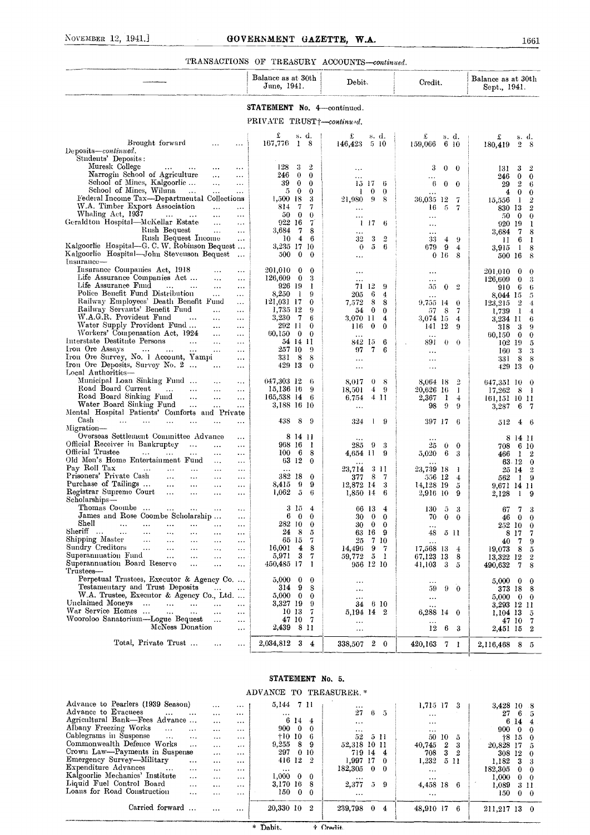### TRANSACTIONS OF TREASURY ACCOUNTS-continued.

|                                                                                                              |                          | Balance as at 30th<br>June, 1941.                        | Debit.                                         | Credit.                                                        | Balance as at 30th<br>Sept., 1941.                |
|--------------------------------------------------------------------------------------------------------------|--------------------------|----------------------------------------------------------|------------------------------------------------|----------------------------------------------------------------|---------------------------------------------------|
|                                                                                                              |                          | <b>STATEMENT No. 4</b> continued.                        |                                                |                                                                |                                                   |
|                                                                                                              |                          | PRIVATE TRUST <sup>+-continued.</sup>                    |                                                |                                                                |                                                   |
|                                                                                                              |                          | £<br>s. d.                                               | £<br>s. d.                                     | £<br>s. d.                                                     | £<br>S. d.                                        |
| Brought forward<br>Deposits—continued.                                                                       | .                        | 167,776<br>$1 \quad 8$                                   | 146,423<br>5 10                                | 159,066<br>6 10                                                | 180,419<br>$\overline{2}$<br>- 8                  |
| Students' Deposits:                                                                                          |                          |                                                          |                                                |                                                                |                                                   |
| Muresk College<br>$\cdots$                                                                                   |                          | 128<br>3<br>2                                            |                                                | 3<br>$\theta$<br>-0                                            | 3<br>2<br>131                                     |
| Narrogin School of Agriculture<br>$\cdots$                                                                   | $\cdots$                 | 246<br>$\bf{0}$<br>$\theta$                              | $\cdots$                                       |                                                                | 246<br>0<br>$\bf{0}$                              |
| School of Mines, Kalgoorlie<br>$\ddotsc$<br>School of Mines, Wiluna<br>$\sim$ .<br>$\ddotsc$                 | $\ddotsc$<br>$\ddotsc$   | 39<br>$\bf{0}$<br>$\bf{0}$<br>$\bf{0}$<br>5.<br>$\bf{0}$ | 15 17<br>6<br>0<br>$\theta$<br>-1              | 6<br>$\bf{0}$<br>-0                                            | $\boldsymbol{2}$<br>29<br>6<br>4<br>0<br>$\bf{0}$ |
| Federal Income Tax—Departmental Collections                                                                  |                          | $1,500$ 18<br>3                                          | 21,980<br>9<br>-8                              | 36,035 12<br>7                                                 | -1<br>$\overline{2}$<br>15,556                    |
| W.A. Timber Export Association<br>$\ldots$                                                                   | $\overline{\phantom{a}}$ | 814<br>7<br>7                                            | $\cdots$                                       | 5<br>16<br>7                                                   | 830 13<br>$\overline{2}$                          |
| Whaling Act, 1937<br>$\ddotsc$<br>$\ldots$<br>Geraldton Hospital—McKellar Estate<br>$\cdots$                 | $\ddotsc$<br>$\ddotsc$   | $\mathbf{0}$<br>50<br>$\theta$<br>922 16<br>7            | <br>-17<br>-6                                  |                                                                | 50<br>$\bf{0}$<br>$\theta$                        |
| Rush Bequest<br>$\ldots$                                                                                     | $\cdots$                 | 7<br>3,684<br>8                                          | Τ.<br>$\ddotsc$                                | $\ddotsc$<br>$\cdots$                                          | 920 19<br>1<br>7<br>3,684<br>8                    |
| Rush Bequest Income                                                                                          | $\sim$ $\sim$            | 10<br>$\overline{4}$<br>6                                | 32<br>3<br>$\overline{2}$                      | 33<br>4<br>-9                                                  | 6<br>П<br>-1                                      |
| Kalgoorlie Hospital-G. C. W. Robinson Bequest<br>Kalgoorlie Hospital-John Stevenson Bequest                  |                          | 3,235 17 10                                              | 5<br>$\theta$<br>-6                            | 679<br>9<br>4                                                  | 8<br>3,915<br>-1                                  |
| Insurance-                                                                                                   | $\ddotsc$                | 500<br>$\bf{0}$<br>$\bf{0}$                              | $\ddotsc$                                      | 0 <sub>16</sub><br>8                                           | 500 16<br>8                                       |
| Insurance Companies Act, 1918<br>$\cdots$                                                                    | $\cdots$                 | 201,010 0<br>$\bf{0}$                                    | $\ddotsc$                                      |                                                                | 201.010<br>0<br>0                                 |
| Life Assurance Companies Act<br>$\ldots$                                                                     | $\ddotsc$                | $126,609$ 0<br>3                                         | $\cdots$                                       | .                                                              | 3<br>126,609<br>0                                 |
| Life Assurance Fund<br>$\mathbf{1}$<br>$\ldots$<br>$\ddotsc$<br>Police Benefit Fund Distribution<br>$\cdots$ | $\ddotsc$<br>$\cdots$    | 926 19<br>-1<br>8,250<br>9<br>-1                         | 12<br>71.<br>9<br>6<br>205<br>$\boldsymbol{4}$ | $\overline{2}$<br>0<br>55                                      | 6<br>6<br>910                                     |
| Railway Employees' Death Benefit Fund                                                                        | $\cdots$                 | 121,031 17<br>$\bf{0}$                                   | 8<br>7.572<br>8                                | $\cdots$<br>9.755–14<br>$\theta$                               | 8,044 15<br>5<br>$\overline{2}$<br>123.215<br>4   |
| Railway Servants' Benefit Fund<br>$\cdots$                                                                   | $\cdots$                 | 1,735 12<br>9                                            | 0<br>$\bf{0}$<br>54                            | -8<br>57<br>-7                                                 | 1,739<br>1<br>4                                   |
| W.A.G.R. Provident Fund<br>$\cdots$<br>Water Supply Provident Fund                                           | $\cdots$                 | 3,230<br>7<br>6<br>292 11<br>$\bf{0}$                    | 3.070 11<br>4                                  | 3,074 15<br>$\overline{4}$                                     | 3,234 11<br>6                                     |
| $\ldots$<br>Workers' Compensation Act, 1924<br>$\ldots$                                                      | $\cdots$<br>$\cdots$     | 60,150<br>$\mathbf{0}$<br>$\bf{0}$                       | 116.<br>0<br>0<br>$\ddotsc$                    | 141 12<br>9<br>$\ddotsc$                                       | 318<br>3<br>9<br>60,150<br>$\bf{0}$<br>$\bf{0}$   |
| Interstate Destitute Persons<br>$\ddotsc$<br>$\ddotsc$                                                       | $\cdots$                 | 54 14 11                                                 | 6<br>842 15                                    | 891<br>$\theta$<br>$\theta$                                    | 102<br>-19<br>5                                   |
| Iron Ore Assays<br>$\sim 100$<br>$\cdots$<br>$\cdots$<br>$\ddotsc$                                           | $\cdots$                 | 257 10<br>-9                                             | 97<br>7<br>6                                   | $\ddotsc$                                                      | 3<br>160<br>3                                     |
| Iron Ore Survey, No. 1 Account, Yampi<br>Iron Ore Deposits, Survey No. 2<br>$\ldots$                         | $\cdots$<br>$\ldots$     | 8<br>331.<br>- 8<br>429 13<br>$\bf{0}$                   | $\cdots$<br>$\ddotsc$                          | $\ddotsc$<br>$\cdots$                                          | 8<br>8<br>331<br>429 13<br>$\bf{0}$               |
| Local Authorities-                                                                                           |                          |                                                          |                                                |                                                                |                                                   |
| Municipal Loan Sinking Fund                                                                                  |                          | 647,303 12<br>-6                                         | 8,017<br>0<br>-8                               | 8,064 18<br>$\overline{2}$                                     | 647,351 10<br>0                                   |
| Road Board Current<br>$\ddotsc$<br>$\cdots$<br>Road Board Sinking Fund<br>$\ddotsc$<br>$\cdots$              | $\cdots$<br>$\cdots$     | 15,136 16<br>9<br>165,538 14 6                           | 18,501<br>4.<br>- 9<br>411<br>6.754            | 20,626 16<br>$\mathbf{I}$<br>$_{2,367}$<br>1<br>$\overline{4}$ | 17,262<br>8<br>- 1                                |
| Water Board Sinking Fund<br>$\cdots$<br>$\cdots$                                                             | $\ddotsc$                | 3,188 16 10                                              | $\ddotsc$                                      | -9<br>98<br>9                                                  | 161,151–10–11<br>3,287<br>6<br>-7                 |
| Mental Hospital Patients' Comforts and Private                                                               |                          |                                                          |                                                |                                                                |                                                   |
| Cash<br>$\ddotsc$<br>Migration-                                                                              | .                        | 438<br>8<br>-9                                           | 324<br>-9<br>U                                 | 397 17<br>-6                                                   | 512<br>4<br>-6                                    |
| Overseas Settlement Committee Advance                                                                        | $\cdots$                 | 8 14 11                                                  |                                                |                                                                | 8<br>-14 II                                       |
| Official Receiver in Bankruptcy<br>$\ddotsc$<br>$\cdots$                                                     | $\cdots$                 | 968 16<br>-1                                             | 9<br>285<br>-3                                 | 25<br>0<br>$\bf{0}$                                            | 708<br>6 10                                       |
| Official Trustee<br>$\sim 10$<br>$\cdots$<br>$\cdots$<br>$\cdots$<br>Old Men's Home Entertainment Fund       | $\ddotsc$                | 8<br>$100\quad 6$<br>63 12<br>$\bf{0}$                   | 4,654 11<br>9                                  | 5,020<br>6<br>3                                                | 466<br>1<br>$\boldsymbol{2}$                      |
| $\cdots$<br>Pay Roll Tax<br>$\cdots$<br>$\cdots$<br>$\cdots$<br>$\cdots$                                     | $\cdots$<br>$\ddotsc$    |                                                          | 23,714<br>3 H                                  | 23,739 18<br>-1                                                | 63 12<br>$\bf{0}$<br>25 14<br>$\overline{2}$      |
| Prisoners' Private Cash<br>$\sim$ $\sim$<br>$\ldots$<br>$\ldots$                                             | $\cdots$                 | 382 18<br>$\bf{0}$                                       | 8<br>7<br>377                                  | 556 12<br>$\overline{4}$                                       | 562<br>19                                         |
| Purchase of Tailings<br>$\sim$ $\sim$<br>$\cdots$<br>$\cdots$                                                | $\cdots$                 | 9<br>9<br>8,415                                          | 12,872 14<br>3                                 | 14,128 19<br>5                                                 | 9,671 14 11                                       |
| Registrar Supreme Court<br>$\cdots$<br>$\cdots$<br>$\ddotsc$<br>Scholarships---                              | $\ddotsc$                | 5<br>1,062<br>6                                          | 1,850 14<br>6                                  | 2,916 10<br>9                                                  | 2,128<br>1                                        |
| Thomas Coombe                                                                                                |                          | $3\,15\,4$                                               | 66 13 4                                        | $130 \t 5 \t 3$                                                | 67<br>7<br>3                                      |
| James and Rose Coombe Scholarship<br>$S$ hell                                                                | .                        | 60<br>$\mathbf{0}$                                       | 30<br>$\bf{0}$<br>$\bf{0}$                     | 70<br>$\bf{0}$<br>$\bf{0}$                                     | 46<br>$\bf{0}$<br>$\bf{0}$                        |
| $\ddotsc$<br>$\cdots$<br>$\ddotsc$<br>$\cdots$<br>.<br>Sheriff<br>$\ddotsc$<br>$\ddotsc$<br><br>$\cdots$<br> | $\ddotsc$                | 282 10<br>$\bf{0}$<br>24<br>- 8<br>5                     | 30<br>$\bf{0}$<br>$\bf{0}$<br>63<br>16<br>9    | <br>5 11<br>48                                                 | $252\,$ 10<br>0<br>8 17                           |
| Shipping Master<br>$\sim$ $\sim$<br><br><br>.                                                                | <br>.                    | 65 15<br>7                                               | 25<br>7 10                                     |                                                                | 7<br>40<br>-7<br>9                                |
| Sundry Creditors<br>$\ldots$<br>$\ddotsc$<br>$\cdots$<br>.                                                   | $\ddotsc$                | 16,001<br>4<br>8                                         | 14,496<br>9<br>-7                              | 17,568 13<br>$\frac{4}{ }$                                     | 19,073<br>-8<br>5                                 |
| Superanmuation Fund<br><br>$\cdots$<br>$\cdots$<br>Superannuation Board Reserve<br><br>.                     | $\cdots$                 | $\bf{3}$<br>5,971<br>7<br>450,485 17<br>-1               | 59,772<br>5 <sub>1</sub><br>956 12 10          | 67,123 13<br>8<br>-3                                           | 13,322 12<br>2                                    |
| Trustees—                                                                                                    | .                        |                                                          |                                                | 41,103<br>5                                                    | 490,632<br>7<br>8                                 |
| Perpetual Trustees, Executor & Agency Co                                                                     |                          | $5,000 \quad 0$<br>0                                     | $\ddotsc$                                      | .                                                              | 5,000<br>$\bf{0}$<br>0                            |
| Testamentary and Trust Deposits<br>$\cdots$<br>W.A. Trustee, Executor & Agency Co., Ltd.                     |                          | 314 9<br>8<br>5,000 0<br>$\bf{0}$                        | $\ddotsc$                                      | 9<br>59<br>$\overline{0}$                                      | 373 18<br>8                                       |
| Unclaimed Moneys<br>$\sim$ $\sim$<br>$\mathbf{A}$ and $\mathbf{A}$ and $\mathbf{A}$<br>$\ldots$<br>$\ldots$  | $\ddotsc$                | 3,327 19<br>-9                                           | $\ddotsc$<br>610<br>34                         | $\cdots$<br>                                                   | 5,000<br>$\mathbf{0}$<br>0<br>3,293 12 11         |
| War Service Homes<br>$\ldots$<br>$\ddotsc$<br>$\ddotsc$                                                      |                          | 1013<br>7                                                | 5,194 14 2                                     | 6,288 14 0                                                     | 1,104 13<br>õ                                     |
| Wooroloo Sanatorium—Logue Bequest<br>$\sim$ $\sim$<br>McNess Donation                                        | $\cdots$                 | 47 10 7                                                  |                                                |                                                                | 47 10<br>7                                        |
|                                                                                                              | $\cdots$                 | 2,439 8 11                                               | $\ddotsc$                                      | 12<br>6<br>- 3                                                 | 2,451 15<br>2                                     |
| Total, Private Trust<br>.                                                                                    | $\cdots$                 | $2,034,812$ 3 4                                          | $2\quad 0$<br>338,507                          | $420,163$ 7 1                                                  | 2,116,468 8 5                                     |
|                                                                                                              |                          |                                                          |                                                |                                                                |                                                   |

### STATEMENT No. 5.

### ADVANCE TO TREASURER.\*

| Advance to Pearlers (1939 Season)   |          | $\cdots$<br>$\cdots$        | 5,144 7 11      |                |                 | $\cdots$     |                |                | 1,715 17   |       | я    | 3.428 10 8      |             |             |
|-------------------------------------|----------|-----------------------------|-----------------|----------------|-----------------|--------------|----------------|----------------|------------|-------|------|-----------------|-------------|-------------|
| Advance to Evacuees<br>$\mathbf{1}$ | $\cdots$ | $\cdots$<br>$\cdots$        |                 |                |                 | 27           | 6              | -5             | $\cdots$   |       |      |                 | 2765        |             |
| Agricultural Bank-Fees Advance      |          | $\cdots$<br>$\cdots$        |                 | 614            | 4               | $\cdots$     |                |                | $\cdots$   |       |      |                 | 6 14 4      |             |
| Albany Freezing Works<br>$\cdots$   | $\cdots$ | $\cdots$<br>$\cdots$        |                 | $900 \quad 0$  | $\theta$        | $\cdots$     |                |                | $\cdots$   |       |      | $900 \t 0 \t 0$ |             |             |
| Cablegrams in Suspense<br>$\cdots$  |          | $\cdots$<br>$\cdots$        |                 | †10 10         | - 6             | $52-$        |                | -511           |            | 50 10 | 5    |                 | 18150       |             |
| Commonwealth Defence Works          | $\cdots$ | $\cdots$<br>$\cdots$        | 9,255           | 8 <sup>8</sup> | -9              | 52,318 10 11 |                |                | $40,745$ 2 |       | -3   | 20,828 17 5     |             |             |
| Crown Law-Payments in Suspense      |          | $\cdots$<br>$\cdots$        | 297             |                | 0 <sup>10</sup> | 719 14 4     |                |                | 708        | -3    | 2    | $308$ 12 0      |             |             |
| Emergency Survey—Military           | $\cdots$ | $\cdots$<br>$\cdots$        |                 | 416 12         | $\cdot$ 2       | 1.997 17 0   |                |                | 1.232      |       | 5 11 | 1.182           | 3           |             |
| Expenditure Advances<br>$\sim$      | $\cdots$ | $\cdots$<br>$\cdots$        | $\cdots$        |                |                 | 182,305      |                | $0\quad 0$     | $\cdots$   |       |      | 182.305         | $0\quad 0$  |             |
| Kalgoorlie Mechanics' Institute     | $\cdots$ | $\cdots$<br>$\cdot$ $\cdot$ | $1.000 \quad 0$ |                | - 0             | $\cdots$     |                |                | $\cdots$   |       |      | 1,000           | $0 \quad 0$ |             |
| Liquid Fuel Control Board           | $\cdots$ | $\cdots$<br>$\cdots$        | 3,170 16        |                | -8              | 2,377        | $\overline{D}$ | 9              | 4,458 18   |       | 6    | 1.089           | 3 H         |             |
| Loans for Road Construction         |          | $\cdots$<br>$\cdots$        | 150-            | $\sim 0$       | - 0             | $\cdots$     |                |                | $\cdots$   |       |      | 150             |             | $0 \quad 0$ |
| Carried forward                     |          | $\cdots$                    | 20,330 10       |                | 2               | 239,798      | $\bf{0}$       | $\overline{4}$ | 48,910 17  |       | 6    | 211,217 13 0    |             |             |

\* Dabit.

 $+$  Cradit.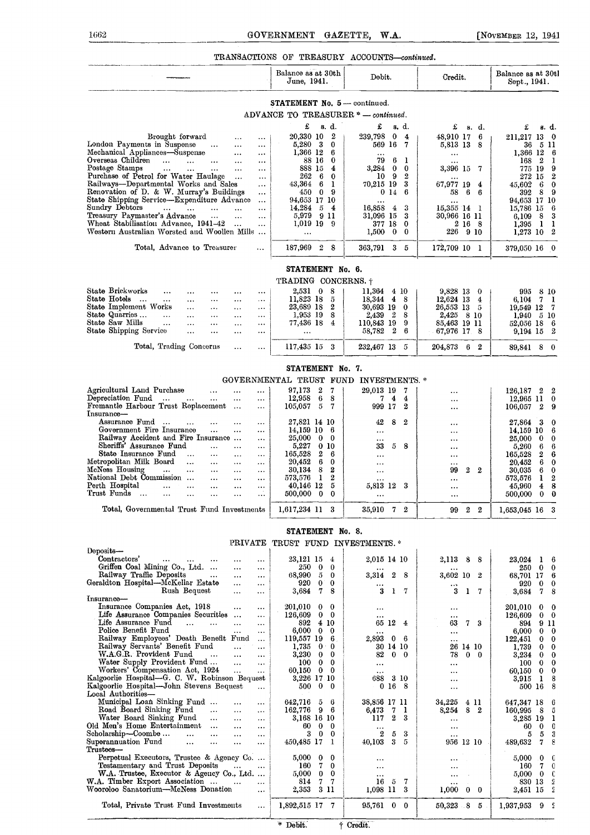### TRANSACTIONS OF TREASURY ACCOUNTS-continued.

|                                                                                                                                                       | Balance as at 30th<br>June, 1941.                                       | Debit.                                                     | Credit.                                    | Balance as at 30tl<br>Sept., 1941.                         |
|-------------------------------------------------------------------------------------------------------------------------------------------------------|-------------------------------------------------------------------------|------------------------------------------------------------|--------------------------------------------|------------------------------------------------------------|
|                                                                                                                                                       | $STATEMENT$ No. $5$ — continued.<br>ADVANCE TO TREASURER * - continued. |                                                            |                                            |                                                            |
|                                                                                                                                                       | £<br>s. d.                                                              | £<br>s. d.                                                 | £<br>s. d.                                 | s. d.<br>£                                                 |
| Brought forward<br>$\ddotsc$<br>                                                                                                                      | 20,330 10<br>$\mathbf{2}$                                               | 239,798<br>$\bf{0}$<br>$\overline{4}$                      | - 6<br>48,910 17                           | 211,217 13 0                                               |
| London Payments in Suspense<br>$\cdots$<br><br>$\ddotsc$<br>Mechanical Appliances-Suspense                                                            | 5,280<br>-3<br>$\bf{0}$<br>1,366 12<br>6                                | 569 16<br>- 7                                              | 5,813 13 8                                 | 36<br>511<br>1,366 12<br>6                                 |
| $\cdots$<br>$\cdots$<br>Overseas Children<br><b>Contract Contract</b><br>$\cdots$<br>$\cdots$<br>$\cdots$                                             | 88 16<br>0                                                              | $\cdots$<br>79<br>6<br>-1                                  | $\cdots$                                   | 168<br>$\mathbf{2}$<br>1                                   |
| Postage Stamps<br>$\mathbf{1}$ , and $\mathbf{1}$<br>$\cdots$<br>$\cdots$<br>$\ldots$<br>$\cdots$                                                     | 888 15 4                                                                | 3,284<br>$\bf{0}$<br>$\bf{0}$                              | 3,396 15 7                                 | 775 19<br>9                                                |
| Purchase of Petrol for Water Haulage<br>$\cdots$<br>$\cdots$<br>Railways-Departmental Works and Sales<br>$\cdots$                                     | 262<br>6<br>0<br>43,364<br>6<br>1                                       | 10 <sup>°</sup><br>9<br>$\boldsymbol{2}$<br>70,215 19<br>3 | <br>67,977 19<br>$\overline{\mathbf{4}}$   | $\boldsymbol{2}$<br>272 15<br>45,602<br>6<br>0             |
| Renovation of D. & W. Murray's Buildings<br>$\ldots$                                                                                                  | 450.<br>09                                                              | 014<br>6                                                   | 6<br>58<br>6                               | 392<br>8<br>9                                              |
| State Shipping Service-Expenditure Advance<br>$\cdots$                                                                                                | 94,653 17 10                                                            | $\cdots$                                                   |                                            | 94,653 17 10                                               |
| Sundry Debtors<br>$\cdots$<br>$\ddotsc$<br>$\sim$ 100 $\mu$<br><br>Treasury Paymaster's Advance<br>$\sim$ $\sim$<br>$\ddotsc$<br>$\ldots$             | 14,284<br>$5\quad 4$<br>5,979<br>911                                    | 16,858<br>3<br>$\overline{4}$<br>31,096 15<br>3            | 15,355 14 1<br>30,966 16 11                | 15,786 15<br>6<br>3<br>6,109<br>8                          |
| Wheat Stabilisation Advance, 1941-42<br>$\cdots$<br>$\cdots$                                                                                          | $1,019$ 19 9                                                            | 377 18<br>$\bf{0}$                                         | 2 16 8                                     | $1,395$ 1 1                                                |
| Western Australian Worsted and Woollen Mills                                                                                                          | $\cdots$                                                                | 1,500<br>$\mathbf{0}$<br>$\bf{0}$                          | 226 910                                    | $1,273$ 10 2                                               |
| Total, Advance to Treasurer<br>$\cdots$                                                                                                               | 187,969 2 8                                                             | 363,791 3 5                                                | 172,709 10 1                               | 379,050 16 0                                               |
|                                                                                                                                                       | STATEMENT No. 6.                                                        |                                                            |                                            |                                                            |
|                                                                                                                                                       | TRADING CONCERNS. †                                                     |                                                            |                                            |                                                            |
| State Brickworks<br>$\cdots$<br><br>$\cdots$<br><br>$\cdots$                                                                                          | $2,531$ 0<br>- 8                                                        | $11,364$ 4 10                                              | 9,828 13 0                                 | 8 10<br>995                                                |
| State Hotels<br>$\cdots$<br>$\cdots$<br>$\cdots$<br>$\cdots$<br><br>$\cdots$<br>State Implement Works<br>$\cdots$<br>$\cdots$<br>$\cdots$<br>$\cdots$ | 11,823 18<br>- 5<br>23,689 18 2                                         | 48<br>18,344<br>30,693 19<br>- 0                           | 12,624 13<br>$\overline{4}$<br>26,553 13 5 | 7 1<br>6,104<br>19,549 12<br>- 7                           |
| State Quarries<br>$\cdots$<br>$\cdots$<br>$\cdots$<br>$\ddotsc$<br>$\cdots$                                                                           | 1,953 19 8                                                              | $\mathbf{2}$<br>2,439<br>-8                                | 2,425 8 10                                 | $1,940 \quad 510$                                          |
| State Saw Mills<br>$\cdots$<br>$\cdots$<br>$\cdots$<br>$\cdots$<br>$\cdots$<br>State Shipping Service<br>$\ddotsc$                                    | 77,436 18 4                                                             | 110,843 19<br>-9<br>58,782 2<br>-6                         | 85,463 19 11<br>67,976 17 8                | 52,056 18 6                                                |
| $\ddotsc$<br>$\cdots$<br>$\cdots$                                                                                                                     | $\cdots$                                                                |                                                            |                                            | 9,194 15 2                                                 |
| Total, Trading Concerns<br><br>                                                                                                                       | 117,435 15 3                                                            | 232,467 13 5                                               | 204,873 6 2                                | 89,841 8 0                                                 |
|                                                                                                                                                       | STATEMENT No. 7.                                                        |                                                            |                                            |                                                            |
|                                                                                                                                                       | GOVERNMENTAL TRUST FUND INVESTMENTS. *                                  |                                                            |                                            |                                                            |
| Agricultural Land Purchase<br>$\ddotsc$<br><br><br>Depreciation Fund<br>$\cdots$<br>$\cdots$<br><br>$\cdots$                                          | 97,173<br>2<br>- 7<br>6<br>12,958<br>8                                  | 29,013 19<br>- 7<br>$7\quad 4$<br>$\overline{4}$           | $\ddotsc$<br>$\cdots$                      | 126,187<br>$2\quad 2$<br>12,965 11<br>$\bf{0}$             |
| Fremantle Harbour Trust Replacement<br>$\cdots$<br>$\ldots$                                                                                           | $5\overline{5}$<br>- 7<br>105,057                                       | 999 17<br>2                                                | $\cdots$                                   | 106,057 2<br>9                                             |
| Insurance-<br>Assurance Fund<br>$\ddotsc$<br>$\cdots$<br>$\cdots$                                                                                     | 27,821 14 10                                                            | 42<br>8<br>$\boldsymbol{2}$                                |                                            | 3<br>27,864<br>0                                           |
| Government Fire Insurance<br>$\ddotsc$<br>$\cdots$<br>$\cdots$                                                                                        | 14,159 10<br>- 6                                                        |                                                            | <br>$\ddotsc$                              | 14,159 10<br>6                                             |
| Railway Accident and Fire Insurance<br>$\cdots$                                                                                                       | 25,000<br>$\bf{0}$<br>$\mathbf{0}$                                      | $\cdots$                                                   | $\ddotsc$                                  | 25,000<br>$\bf{0}$<br>0                                    |
| Sheriffs' Assurance Fund<br>$\cdots$<br><br><br>State Insurance Fund<br>$\cdots$<br>$\cdots$<br>$\cdots$<br>$\cdots$                                  | 5,227<br>010<br>2<br>165,528<br>-6                                      | 33<br>5.<br>- 8<br>$\cdots$                                | <br>$\ddotsc$                              | 5,260<br>6<br>6<br>165,528<br>2<br>6                       |
| Metropolitan Milk Board<br>$\ddotsc$<br>$\ldots$<br>$\cdots$<br>$\cdots$                                                                              | 6<br>20,452<br>$\bf{0}$                                                 | $\cdots$                                                   |                                            | 20,452<br>6<br>0                                           |
| McNess Housing<br>$\cdots$<br>$\ldots$<br>$\cdots$<br>$\cdots$<br><br>National Debt Commission                                                        | 8<br>2<br>30,134<br>2                                                   |                                                            | 99<br>2<br>$\boldsymbol{2}$                | 30,035<br>6<br>$\bf{0}$                                    |
| $\cdots$<br>$\cdots$<br>$\cdots$<br>Perth Hospital<br>$\cdots$<br>$\cdots$<br>$\ddotsc$<br>$\ddotsc$<br>$\cdots$                                      | 573,576<br>1<br>40,146 12<br>5                                          | $\cdots$<br>5,813 12<br>-3                                 | $\ddotsc$<br>$\cdots$                      | 2<br>573,576<br>1<br>8<br>45,960<br>$\overline{4}$         |
| Trust Funds<br>$\ddots$<br>$\cdots$<br>$\ddotsc$<br>$\ddotsc$<br><br>                                                                                 | 500,000 0<br>$\bf{0}$                                                   | $\cdots$                                                   |                                            | 500,000<br>$\mathbf{0}$<br>0                               |
| Total, Governmental Trust Fund Investments                                                                                                            | 1.617.234 11<br>3                                                       | 35,910<br>2<br>7                                           | o<br>$\mathbf{2}$<br>99                    | 1,653,045 16                                               |
|                                                                                                                                                       | STATEMENT No. 8.                                                        |                                                            |                                            |                                                            |
| PRIVATE<br>Deposits-                                                                                                                                  | TRUST FUND INVESTMENTS.*                                                |                                                            |                                            |                                                            |
| Contractors'<br>$\cdots$<br>$\cdots$<br>$\cdots$<br>                                                                                                  | 23,121 15 4                                                             | 2,015 14 10                                                | 2,113<br>8<br>- 8                          | 23.024<br>$1\quad 6$                                       |
| Griffen Coal Mining Co., Ltd.<br><br>$\cdots$                                                                                                         | 250<br>$\bf{0}$<br>$\theta$                                             |                                                            |                                            | $\bf{0}$<br>250<br>$\bf{0}$                                |
| Railway Traffic Deposits<br>$\sim$ $\sim$<br>$\cdots$<br>$\cdots$<br>Geraldton Hospital-McKellar Estate<br>$\cdots$<br>                               | 50<br>68,990<br>$\mathbf{0}$<br>920<br>0                                | 3,314<br>$\mathbf{2}$<br>- 8                               | 3,602 10 2                                 | 68,701 17<br>6<br>920<br>$\bf{0}$<br>0                     |
| Rush Bequest<br>$\cdots$<br>$\ddotsc$                                                                                                                 | 7.<br>3,684<br>8                                                        | 3<br>$1 \t7$                                               | 3<br>$1 \quad 7$                           | 7.<br>8<br>3,684                                           |
| Insurance-<br>Insurance Companies Act, 1918                                                                                                           |                                                                         |                                                            |                                            |                                                            |
| $\cdots$<br>$\cdots$<br>Life Assurance Companies Securities<br>$\cdots$                                                                               | 201,010<br>0<br>0<br>$0\quad 0$<br>126,609                              | $\cdots$<br>$\cdots$                                       | <br>$\cdots$                               | 201,010<br>$0\quad 0$<br>126,609<br>$0\quad 0$             |
| Life Assurance Fund<br>$\cdots$<br>$\cdots$<br>$\ldots$<br>$\cdots$                                                                                   | 892<br>4 10                                                             | 65 12 4                                                    | 63<br>7 <sub>3</sub>                       | 894<br>911                                                 |
| Police Benefit Fund<br>$\cdots$<br><br>Railway Employees' Death Benefit Fund<br>$\ddotsc$                                                             | $0\quad 0$<br>6,000<br>119,557 19 6                                     | 2,893<br>$\bf{0}$<br>- 6                                   | $\cdots$<br>$\cdots$                       | 6,000<br>$0\quad 0$<br>122,451<br>$\bf{0}$<br>$\mathbf{0}$ |
| Railway Servants' Benefit Fund<br>$\cdots$<br>$\cdots$                                                                                                | 1,735<br>0 <sub>0</sub>                                                 | 30 14 10                                                   | 26 14 10                                   | 1,739<br>0<br>$\mathbf{0}$                                 |
| W.A.G.R. Provident Fund<br>$\ddotsc$<br>$\cdots$<br>                                                                                                  | $\bf{0}$<br>3,230<br>0                                                  | $0\quad 0$<br>82                                           | $0\quad 0$<br>78                           | 3,234<br>$\mathbf{0}$<br>0                                 |
| Water Supply Provident Fund<br>$\ddotsc$<br>$\ddotsc$<br>Workers' Compensation Act, 1924<br>$\cdots$<br>$\cdots$                                      | $\bf{0}$<br>100 <sub>1</sub><br>0<br>60,150<br>$0\quad 0$               | $\cdots$<br>                                               | $\cdots$<br>                               | 100<br>$\mathbf{0}$<br>0<br>0<br>60,150<br>$\mathbf{0}$    |
| Kalgoorlie Hospital-G. C. W. Robinson Bequest                                                                                                         | 3,226 17 10                                                             | 3 10<br>688                                                |                                            | 8<br>3,915<br>$\mathbf{1}$                                 |
| Kalgoorlie Hospital—John Stevens Bequest<br>$\cdots$                                                                                                  | 500<br>$\bf{0}$<br>$\mathbf{0}$                                         | 0168                                                       | $\ddotsc$                                  | 500 16<br>8                                                |
| Local Authorities-<br>Municipal Loan Sinking Fund<br>$\cdots$<br>$\cdots$                                                                             | 642,716<br>5.<br>- 6                                                    | 38,856 17 11                                               | 34,225<br>4 11                             | 647,347 18<br>6                                            |
| Road Board Sinking Fund<br>$\cdots$<br>$\cdots$<br>$\cdots$                                                                                           | 96<br>162,776                                                           | 6,473<br>7<br>$\mathbf{1}$                                 | 8 2<br>8,254                               | 160,995<br>-8<br>5                                         |
| Water Board Sinking Fund<br>$\sim 100$ km s $^{-1}$<br>$\cdots$<br><br>Old Men's Home Entertainment                                                   | 3,168 16 10<br>$\bf{0}$<br>60<br>$\mathbf{0}$                           | $\boldsymbol{2}$<br>117<br>3                               | $\cdots$                                   | 3,285 19<br>1<br>0<br>60<br>$\bf{0}$                       |
| $\cdots$<br>$\cdots$<br>Scholarship-Coombe<br>$\cdots$<br>$\ddotsc$<br>$\ddotsc$<br>$\cdots$                                                          | 3 0 0                                                                   | $\cdots$<br>3<br>$\boldsymbol{2}$<br>5                     | <br>$\ddotsc$                              | 3<br>5<br>5                                                |
| Superannuation Fund<br>$\cdots$<br>$\cdots$<br>$\cdots$<br>$\cdots$                                                                                   | 450,485 17 1                                                            | 40,103<br>3<br>5                                           | 956 12 10                                  | 8<br>489,632<br>7                                          |
| Trustees-<br>Perpetual Executors, Trustee & Agency Co                                                                                                 | 5,000<br>0<br>0                                                         | $\cdots$                                                   | $\cdots$                                   | 5,000<br>$\mathbf{0}$ 0                                    |
| Testamentary and Trust Deposits<br>$\cdots$<br>$\cdots$                                                                                               | 7.<br>160<br>$\bf{0}$                                                   | $\cdots$                                                   |                                            | 160<br>$\mathbf{0}$<br>7                                   |
| W.A. Trustee, Executor & Agency Co., Ltd.<br>W.A. Timber Export Association                                                                           | 5,000<br>$\mathbf{0}$<br>$\bf{0}$<br>7 <sub>7</sub><br>814              | $\cdots$<br>16<br>- 7                                      | $\cdots$                                   | $5,000 \quad 0$<br>C<br>2                                  |
| $\cdots$<br>$\cdots$<br>Wooroloo Sanatorium—McNess Donation<br>$\ldots$                                                                               | 2,353<br>-311                                                           | 5<br>1,098 11<br>- 3                                       | $\ddotsc$<br>1,000<br>$0\quad 0$           | 830 13<br>2,451 15 2                                       |
| Total, Private Trust Fund Investments<br>$\cdots$                                                                                                     | 1,892,515 17 7                                                          | 95,761 0 0                                                 | $50,323$ $8$ $5$                           | 1,937,953 9<br>- 2                                         |
|                                                                                                                                                       |                                                                         |                                                            |                                            |                                                            |
|                                                                                                                                                       | * Debit.                                                                | † Credit.                                                  |                                            |                                                            |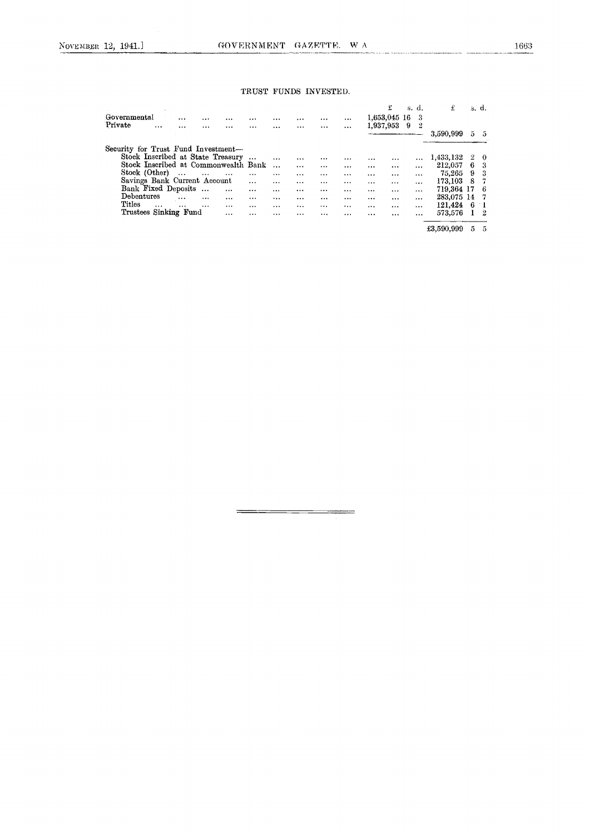### TRUST FUNDS INVESTED.

| Governmental                         |          | $\cdots$ |           |          | $\cdots$ |          |          |          |          |          | £<br>1,653,045 16 | s. d.<br>3 | £          |    | s. d. |
|--------------------------------------|----------|----------|-----------|----------|----------|----------|----------|----------|----------|----------|-------------------|------------|------------|----|-------|
| Private                              |          | $\cdots$ |           | $\cdots$ |          |          |          |          | $\cdots$ |          | 1,937,953         | 9<br>2     | 3,590,999  | 5. | 5     |
| Security for Trust Fund Investment-  |          |          |           |          |          |          |          |          |          |          |                   |            |            |    |       |
| Stock Inscribed at State Treasury    |          |          |           |          | $\cdots$ | $\cdots$ |          |          |          |          |                   |            | 1,433,132  | 2  | 0     |
| Stock Inscribed at Commonwealth Bank |          |          |           |          |          | $\cdots$ |          |          |          | $\cdots$ |                   |            | 212,057    | 6  | З     |
| Stock (Other)                        |          | $\cdots$ | $\cdots$  |          |          |          | $\cdots$ | $\cdots$ |          | $\cdots$ |                   | $\cdots$   | 75,265     | 9  | 3     |
| Savings Bank Current Account         |          |          |           |          |          |          |          |          |          | $\cdots$ | $\cdots$          |            | 173,103    | 8  |       |
| Bank Fixed Deposits                  |          |          | $\ddotsc$ |          |          | $\cdots$ |          |          | $\cdots$ |          |                   |            | 719,364 17 |    | 6     |
| Debentures                           |          | $\cdots$ |           | $\cdots$ |          |          | $\cdots$ |          |          |          |                   |            | 283,075 14 |    |       |
| Titles                               | $\cdots$ |          | $\cdots$  |          |          |          |          |          |          | $\cdots$ |                   |            | 121,424    | 6. |       |
| Trustees Sinking Fund                |          |          |           |          | .        |          | $\cdots$ |          | $\cdots$ |          |                   | $\cdots$   | 573,576    |    | 2     |
|                                      |          |          |           |          |          |          |          |          |          |          |                   |            | £3,590,999 | 5  | 5     |

 $\equiv$ 

=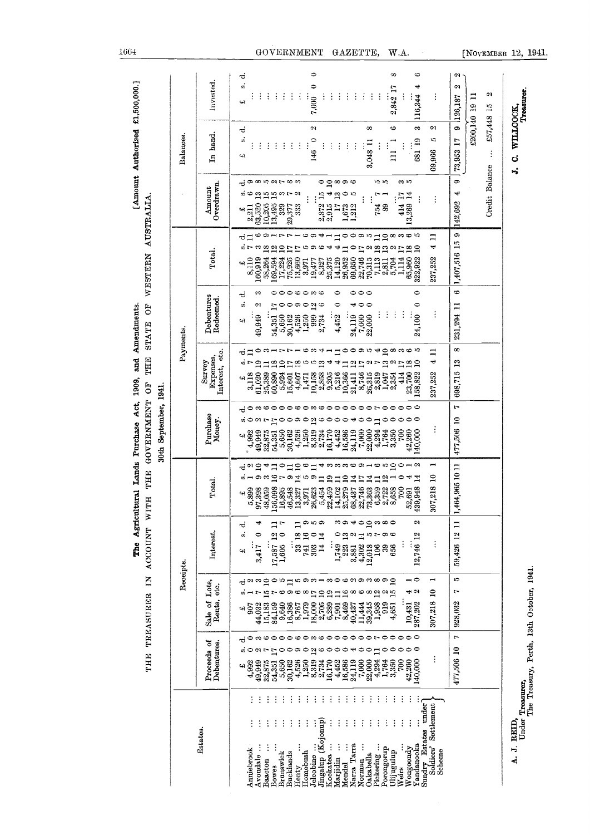| $\ddot{\phantom{a}}$         |
|------------------------------|
|                              |
| i:<br>;                      |
|                              |
|                              |
| <br> <br> <br> <br>          |
|                              |
| <b>BOOK</b><br>$\frac{3}{5}$ |
| $\vdots$                     |
| f<br>l                       |
|                              |
|                              |
| The A                        |

| Invested.<br>2,842 17<br>116,344<br>7,000<br>126,187<br>£200,140 19<br>£57,448 15<br>๑<br>ø<br>$\infty$<br>అ<br>ణ<br>C)<br>ತ<br>In hand<br>Balances<br>å<br>ю<br>681 19<br>146 0<br>73,953 17<br>3,048 11<br>$\vdots$<br>$\vdots$<br>$\vdots$<br>$\vdots$<br>÷<br>$\vdots$<br>$\vdots$<br>$\vdots$<br>$\vdots$<br>÷<br>$\vdots$<br>÷<br>$\vdots$<br>$\Xi$<br>69,966<br>$\vdots$<br>વનરે<br>Credit Balance<br>¢.<br>0.000000000000<br>$\circ$ 2<br>စ ဇာ ဇာ<br>າດ ທ<br>ကေဟ<br>ಕ<br>Overdrawn<br>Amount<br>₩<br>ගඟ<br>$\begin{array}{c} 25 \\ 21 \\ 25 \end{array}$<br>₩<br>$\omega$ $\sim$<br>$\overline{1}$<br>$\mathbf{r}$<br>$\bullet$<br>13,269 14<br>ю<br>$\mathbf{H}$<br>$\vdots$<br>414<br>142,692<br>63,520<br>10,205<br>13,495<br>$\frac{2,872}{2,915}$<br>329<br>29,377<br>$\overline{17}$<br>89<br>1,673<br>1,212<br>754<br>2,211<br>333<br>پې<br>ය<br>∾<br>$\circ$ $-$<br>అ<br>∘<br>မယ<br>r r<br>ශ<br>ᆊ<br>0<br>တေးလ<br>$\mathbf{a}$<br>ထက<br>$\Xi$<br>ರ⊐<br>1,407,516 15<br>4<br>18<br>$\frac{8}{12}$<br>$\frac{1}{2}$<br>13<br>$\mathbf{a}$<br>のい<br>$\circ$<br>$\overline{18}$<br>$\Xi$<br>$\overline{17}$<br>Total.<br>22,746<br>65,960<br>237,252<br>1,114<br>58,264<br>$\frac{17,224}{75,925}$ 13,660<br>26,952<br>69,650<br>70,315<br>7,113<br>322,922<br>8,110<br>160,919<br>169,594<br>14,120<br>2,811<br>5,704<br>25,375<br>19,477<br>8,327<br>3,971<br>વ્ય<br>⇔<br>$\circ \circ \circ$<br>0000000<br>0<br>0<br>∞<br>ಕ<br>Debentures<br>Redeemed.<br>s,<br>$\circ$<br>$\circ$<br>0<br>N<br>$\circ$<br>ာဝဍ္<br>0<br>ᆐ<br>231,294 11<br>$\Gamma$<br>÷<br>÷<br>÷<br>$\vdots$<br>÷<br>4,452<br>999<br>22,000<br>24,100<br>$54,351$<br>$5,650$<br>7,000<br>2,734<br>49,949<br>30,162<br>4,526<br>1,250<br>24,119<br>વન<br>Payments.<br>$\infty$<br><b>1000m400000</b><br>つのートト<br>စ္ပ္က - - -<br>$\Xi$<br>።<br>Interest, etc.<br>ರ<br>Expenses,<br>4<br>698,715 13<br>Survey<br>$\overline{a}$<br>225<br>$\frac{8}{10}$<br>$\frac{8}{2}$<br>r.<br>$\overline{13}$<br>۳<br>$^{2}$<br>$\overline{17}$<br>9 L<br>13<br>$\frac{2}{17}$<br>ຜ1∼<br>A,<br>$\Xi$<br>8,746<br>2,858<br>2,205<br>5,216<br>23,700<br>414<br>58,822<br>237,252<br>61,020<br>25,389<br>60,890<br>10,366<br>2,819<br>3,118<br>$\frac{5,924}{15,601}$<br>10,158<br>26,315<br>1,047<br>2,354<br>$1,407$<br>$1,471$<br>21,411<br>41<br>r<br>ణ అం<br>ᅌ<br>$\circ \circ$<br>00<br>$\circ$<br>$\circ$<br>ᅌ<br>∘<br>∾<br>ᅌ<br>ణ<br>∾<br>0<br>∘<br>∘<br>r<br>Purchase<br>$\circ$<br>477,506 10<br>$\overline{2}$<br>$\circ$<br>øO<br>$\omega$ $\sim$<br>$\bullet$<br>$\circ$<br>ာ ဝ<br>అ<br>$\bullet$<br>$\circ$<br>$\circ$<br>0<br>$\bullet$<br>17<br>$\circ$<br>⇥<br>Money.<br>$\Xi$<br>$\vdots$<br>22,000<br>4,294<br>$4,320$<br>$4,320$<br>$4,313$<br>$8,734$<br>$8,734$<br>7,000<br>3,350<br>700<br>$\frac{54,351}{5,650}$<br>$30,162$<br>16,170<br>$4,452$<br>16,586<br>24,119<br>1,764<br>42,260<br>140,000<br>4,992<br>49,949<br>32,875<br>વનર<br>$\mathbf{r}$<br>$\circ$<br>႕ကေတတတ<br>ం<br>ю<br>$\mathbf{r}$<br>0<br>$\rightarrow \infty$<br>ಕ ಇ<br>$\mathbf{a}$<br>4<br>$\bullet$<br>∞<br>$\Box$<br>1,464,965 10 11<br>$\sim$ 0<br>$\overline{16}$<br>က္ခ<br>$\approx$<br>တောက<br>14<br>$\overline{19}$<br>0<br>⇥<br>$\mathbf{H}$<br>$\Box$<br>$\mathbf{a}$<br>$\overline{14}$<br>$\mathbf{L}$<br>$\frac{14}{5}$<br>$\mathbf{r}$<br>$\overline{1}$<br>$\Box$<br>Total.<br>307,218<br>52,691<br>439,948<br><b>888</b><br>$\begin{array}{c} 2.399 \\ 5.899 \\ 97,398 \\ 48,059 \end{array}$ |
|------------------------------------------------------------------------------------------------------------------------------------------------------------------------------------------------------------------------------------------------------------------------------------------------------------------------------------------------------------------------------------------------------------------------------------------------------------------------------------------------------------------------------------------------------------------------------------------------------------------------------------------------------------------------------------------------------------------------------------------------------------------------------------------------------------------------------------------------------------------------------------------------------------------------------------------------------------------------------------------------------------------------------------------------------------------------------------------------------------------------------------------------------------------------------------------------------------------------------------------------------------------------------------------------------------------------------------------------------------------------------------------------------------------------------------------------------------------------------------------------------------------------------------------------------------------------------------------------------------------------------------------------------------------------------------------------------------------------------------------------------------------------------------------------------------------------------------------------------------------------------------------------------------------------------------------------------------------------------------------------------------------------------------------------------------------------------------------------------------------------------------------------------------------------------------------------------------------------------------------------------------------------------------------------------------------------------------------------------------------------------------------------------------------------------------------------------------------------------------------------------------------------------------------------------------------------------------------------------------------------------------------------------------------------------------------------------------------------------------------------------------------------------------------------------------------------------------------------------------------------------------------------------------------------------------------------------------------------------------------------------------------------------------------------------------------------------------------------------------------------------------------------------------------------------------------------------------------------------------------------------------------------------------------------------------------------------------------------------------------------------------------------------------------------------------------------------------------------------|
|                                                                                                                                                                                                                                                                                                                                                                                                                                                                                                                                                                                                                                                                                                                                                                                                                                                                                                                                                                                                                                                                                                                                                                                                                                                                                                                                                                                                                                                                                                                                                                                                                                                                                                                                                                                                                                                                                                                                                                                                                                                                                                                                                                                                                                                                                                                                                                                                                                                                                                                                                                                                                                                                                                                                                                                                                                                                                                                                                                                                                                                                                                                                                                                                                                                                                                                                                                                                                                                                              |
|                                                                                                                                                                                                                                                                                                                                                                                                                                                                                                                                                                                                                                                                                                                                                                                                                                                                                                                                                                                                                                                                                                                                                                                                                                                                                                                                                                                                                                                                                                                                                                                                                                                                                                                                                                                                                                                                                                                                                                                                                                                                                                                                                                                                                                                                                                                                                                                                                                                                                                                                                                                                                                                                                                                                                                                                                                                                                                                                                                                                                                                                                                                                                                                                                                                                                                                                                                                                                                                                              |
|                                                                                                                                                                                                                                                                                                                                                                                                                                                                                                                                                                                                                                                                                                                                                                                                                                                                                                                                                                                                                                                                                                                                                                                                                                                                                                                                                                                                                                                                                                                                                                                                                                                                                                                                                                                                                                                                                                                                                                                                                                                                                                                                                                                                                                                                                                                                                                                                                                                                                                                                                                                                                                                                                                                                                                                                                                                                                                                                                                                                                                                                                                                                                                                                                                                                                                                                                                                                                                                                              |

 $\bar{1}664$ 

### GOVERNMENT GAZETTE, W.A.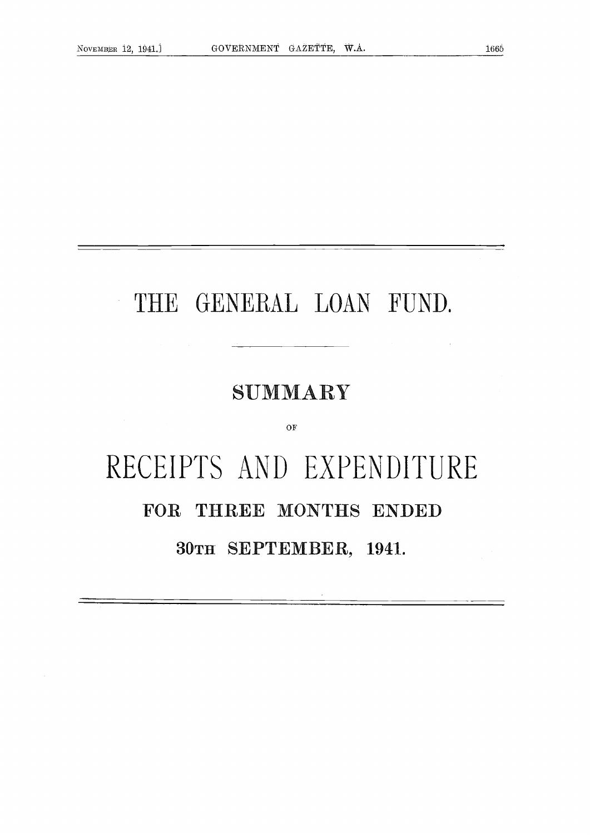$\frac{1}{2}$ 

# THE GENERAL LOAN FUND.

# $SUMMARY$

OF

# RECEIPTS AND EXPENDITURE FOR THREE MONTHS ENDED 30TH SEPTEMBER, 1941.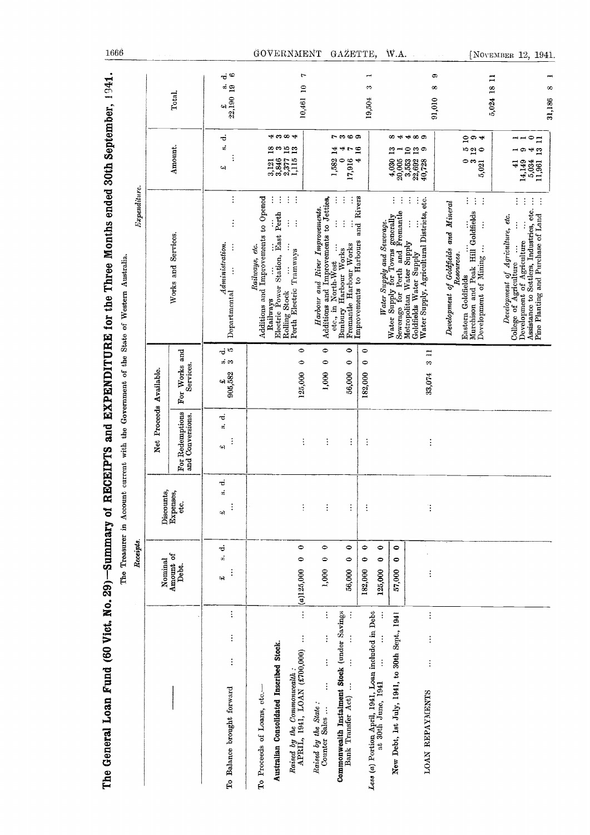| The General Loan Fund (60 Vict. No. 29) –Summary of                                                    | Receipts.                         |                                   |                                     |                                   | RECEIPTS and EXPENDITURE for the Three Months ended 30th September, 1941.<br>$\emph{Expenditive}.$<br>The Treasurer in Account current with the Government of the State of Western Australia.                              |                                                                                              |                                           |
|--------------------------------------------------------------------------------------------------------|-----------------------------------|-----------------------------------|-------------------------------------|-----------------------------------|----------------------------------------------------------------------------------------------------------------------------------------------------------------------------------------------------------------------------|----------------------------------------------------------------------------------------------|-------------------------------------------|
|                                                                                                        | Nominal                           |                                   | Net Proceeds Available.             |                                   |                                                                                                                                                                                                                            |                                                                                              |                                           |
|                                                                                                        | Amount of<br>Debt.                | Discounts,<br>Expenses,<br>etc.   | For Redemptions<br>and Conversions. | For Works and<br>Services.        | Works and Services.                                                                                                                                                                                                        | Amount.                                                                                      | Total.                                    |
| $\vdots$<br>$\vdots$<br>$\vdots$<br>To Balance brought forward                                         | ಕ<br>$\vec{a}$<br>$\vdots$<br>વ્ય | $\vec{v}$<br>si.<br>$\vdots$<br>پ | $\vec{c}$<br>o.<br>$\vdots$<br>બ    | ನ ದ<br>ဟံ ဘ<br>905,582<br>બ       | $\vdots$<br>$\vdots$<br>Administration.<br>$\vdots$<br>$\vdots$<br>Departmental                                                                                                                                            | ಕ<br>á<br>$\vdots$<br>Щ                                                                      | $\vec{c}$ ಅ<br>$\frac{1}{22,190}$ 19<br>બ |
| To Proceeds of Loans, etc.-                                                                            |                                   |                                   |                                     |                                   | Additions and Improvements to Opened<br>Railways, etc.                                                                                                                                                                     |                                                                                              |                                           |
| Australian Consolidated Inscribed Stock.                                                               |                                   |                                   |                                     |                                   | $\ddot{\cdot}$<br>Electric Power Station, East Perth<br>Railways                                                                                                                                                           | *****<br>20 m 10 m<br>20 m<br>3,131<br>3,846<br>3,377<br>1,115                               |                                           |
| $\vdots$<br>$\vdots$<br>Raised by the Commonwealth :<br>APRIL, 1941, LOAN (£700,000)                   | 0<br>$\bullet$<br>$(a)$ 125,000   | $\vdots$                          | $\vdots$                            | $\bullet$<br>0<br>125,000         | $\mathcal{L}^{\text{eff}}$<br>$\vdots$<br>Rolling Stock<br>Perth Electric Tramways                                                                                                                                         |                                                                                              | ٣<br>10,461 10                            |
| $\vdots$<br>$\vdots$<br>$\vdots$<br>$\vdots$<br>Raised by the State:<br>Counter Sales                  | $\bullet$<br>$\bullet$<br>1,000   | $\vdots$                          | $\vdots$                            | $\bullet$<br>$\circ$<br>1,000     | Additions and Improvements to Jetties,<br>Harbour and River Improvements.                                                                                                                                                  |                                                                                              |                                           |
| Commonwealth Instalment Stock (under Savings<br>$\vdots$<br>$\vdots$<br>$\vdots$<br>Bank Transfer Act) | $\bullet$<br>0<br>56,000          | $\vdots$                          | $\vdots$                            | 0<br>$\bullet$<br>56,000          | $\vdots$<br>$\vdots$<br>$\vdots$<br>$\vdots$<br>Fremantle Harbour Works<br>$\vdots$<br>Bunbury Harbour Works<br>etc., in North-West                                                                                        | 5 ణ అం<br>1,582 14<br>$\frac{7}{16}$<br>₩<br>$\bullet$<br>17,916                             |                                           |
|                                                                                                        | 0<br>۰<br>182,000                 | $\vdots$                          | $\vdots$                            | $\bullet$<br>$\bullet$<br>182,000 | Improvements to Harbours and Rivers                                                                                                                                                                                        | ٠                                                                                            | $\infty$<br>19,504                        |
| Less (a) Portion April, 1941, Loan included in Debt at 30th June, $1941$                               | $\bullet$<br>$\bullet$<br>125,000 |                                   |                                     |                                   |                                                                                                                                                                                                                            |                                                                                              |                                           |
| New Debt, 1st July, 1941, to 30th Sept., 1941                                                          | $\bullet$<br>$\bullet$<br>57,000  |                                   |                                     |                                   | $\vdots$<br><i>Water Supply and Sewerage.</i><br>Water Supply for Towns generally<br>Sewerage for Perth and Fremantle                                                                                                      | 4,030 13<br>20,005                                                                           |                                           |
| $\vdots$<br>$\vdots$<br>$\vdots$<br><b>LOAN REPAYMENTS</b>                                             | $\vdots$                          | $\ddot{\cdot}$                    | $\vdots$                            | $\frac{3}{2}$<br>33,074           | $\vdots$<br>$\vdots$<br>Water Supply, Agricultural Districts, etc.<br>$\vdots$<br>Metropolitan Water Supply<br>Goldfields Water Supply                                                                                     | ೲ ಈ ಈ ᢁ ◎<br>$\mathbf{r}$<br>$\frac{3}{2}$<br>3,553<br>22,692<br>40,728                      | යා<br>∞<br>91,010                         |
|                                                                                                        |                                   |                                   |                                     |                                   | Development of Goldfields and Mineral<br>Resources.<br><b>Eastern Goldfields</b>                                                                                                                                           |                                                                                              |                                           |
|                                                                                                        |                                   |                                   |                                     |                                   | $\vdots$<br>$\vdots$<br>÷<br>Hassell Southerles<br>Murchison and Peak Hill Goldfields<br>$\vdots$<br>$\vdots$<br>Development of Mining                                                                                     | $\frac{5}{2}$ $\frac{4}{4}$<br>$\frac{50}{2}$<br>⇔ ⇔<br>5,021                                | 5,024 18 11                               |
|                                                                                                        |                                   |                                   |                                     |                                   | $\vdots$<br>$\vdots$<br>Assistance to Settlers, Industries, etc.<br>$\vdots$<br>Pine Planting and Purchase of Land<br>Development of Agriculture, etc.<br>College of Agriculture<br>$\vdots$<br>Development of Agriculture | $\circ$<br>$\mathbf{I}$<br>$\frac{3}{2}$<br>යා<br>ᆊ<br>14,149<br>$\frac{5,034}{11,961}$<br>⋥ | œ<br>31.186                               |

 $\frac{1666}{1}$ 

# GOVERNMENT GAZETTE, W.A. (NOVEMBER 12, 1941.